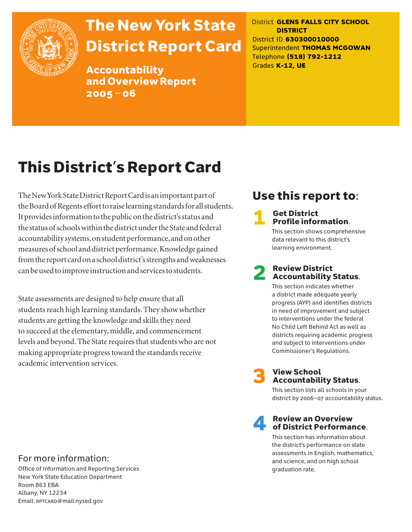

# The New York State District Report Card

Accountability and Overview Report 2005–06

District **GLENS FALLS CITY SCHOOL DISTRICT** District ID **630300010000** Superintendent **THOMAS MCGOWAN** Telephone **(518) 792-1212** Grades **K-12, UE**

# This District's Report Card

The New York State District Report Card is an important part of the Board of Regents effort to raise learning standards for all students. It provides information to the public on the district's status and the status of schools within the district under the State and federal accountability systems, on student performance, and on other measures of school and district performance. Knowledge gained from the report card on a school district's strengths and weaknesses can be used to improve instruction and services to students.

State assessments are designed to help ensure that all students reach high learning standards. They show whether students are getting the knowledge and skills they need to succeed at the elementary, middle, and commencement levels and beyond. The State requires that students who are not making appropriate progress toward the standards receive academic intervention services.

## Use this report to:

# **1** Get District<br>**Profile information.**

This section shows comprehensive data relevant to this district's learning environment.

# **2** Review District<br>Accountability Status.

This section indicates whether a district made adequate yearly progress (AYP) and identifies districts in need of improvement and subject to interventions under the federal No Child Left Behind Act as well as districts requiring academic progress and subject to interventions under Commissioner's Regulations.



# **3** View School<br>Accountability Status.

This section lists all schools in your district by 2006–07 accountability status.

# **A** Review an Overview<br>
of District Performance.

This section has information about the district's performance on state assessments in English, mathematics, and science, and on high school graduation rate.

### For more information:

Office of Information and Reporting Services New York State Education Department Room 863 EBA Albany, NY 12234 Email: RPTCARD@mail.nysed.gov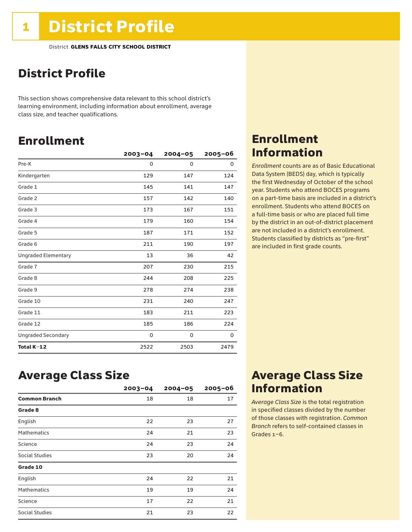## District Profile

This section shows comprehensive data relevant to this school district's learning environment, including information about enrollment, average class size, and teacher qualifications.

### Enrollment

|                            | $2003 - 04$ | $2004 - 05$ | $2005 - 06$ |
|----------------------------|-------------|-------------|-------------|
| Pre-K                      | 0           | 0           | 0           |
| Kindergarten               | 129         | 147         | 124         |
| Grade 1                    | 145         | 141         | 147         |
| Grade 2                    | 157         | 142         | 140         |
| Grade 3                    | 173         | 167         | 151         |
| Grade 4                    | 179         | 160         | 154         |
| Grade 5                    | 187         | 171         | 152         |
| Grade 6                    | 211         | 190         | 197         |
| <b>Ungraded Elementary</b> | 13          | 36          | 42          |
| Grade 7                    | 207         | 230         | 215         |
| Grade 8                    | 244         | 208         | 225         |
| Grade 9                    | 278         | 274         | 238         |
| Grade 10                   | 231         | 240         | 247         |
| Grade 11                   | 183         | 211         | 223         |
| Grade 12                   | 185         | 186         | 224         |
| <b>Ungraded Secondary</b>  | 0           | 0           | 0           |
| Total K-12                 | 2522        | 2503        | 2479        |

### Enrollment Information

*Enrollment* counts are as of Basic Educational Data System (BEDS) day, which is typically the first Wednesday of October of the school year. Students who attend BOCES programs on a part-time basis are included in a district's enrollment. Students who attend BOCES on a full-time basis or who are placed full time by the district in an out-of-district placement are not included in a district's enrollment. Students classified by districts as "pre-first" are included in first grade counts.

### Average Class Size

|                       | $2003 - 04$ | $2004 - 05$ | $2005 - 06$ |
|-----------------------|-------------|-------------|-------------|
| <b>Common Branch</b>  | 18          | 18          | 17          |
| Grade 8               |             |             |             |
| English               | 22          | 23          | 27          |
| <b>Mathematics</b>    | 24          | 21          | 23          |
| Science               | 24          | 23          | 24          |
| <b>Social Studies</b> | 23          | 20          | 24          |
| Grade 10              |             |             |             |
| English               | 24          | 22          | 21          |
| <b>Mathematics</b>    | 19          | 19          | 24          |
| Science               | 17          | 22          | 21          |
| Social Studies        | 21          | 23          | 22          |

### Average Class Size Information

*Average Class Size* is the total registration in specified classes divided by the number of those classes with registration. *Common Branch* refers to self-contained classes in Grades 1–6.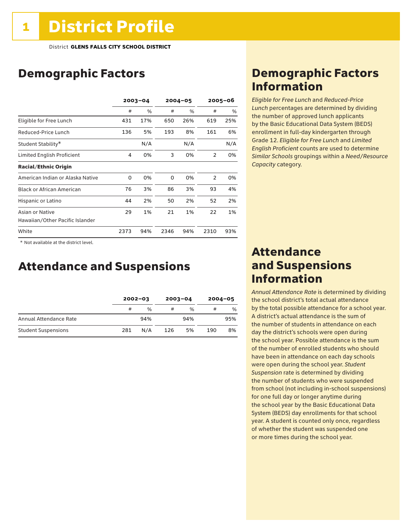## Demographic Factors

|                                  |      | $2003 - 04$ |      | $2004 - 05$ | $2005 - 06$    |      |
|----------------------------------|------|-------------|------|-------------|----------------|------|
|                                  | #    | %           | #    | $\%$        | #              | $\%$ |
| Eligible for Free Lunch          | 431  | 17%         | 650  | 26%         | 619            | 25%  |
| Reduced-Price Lunch              | 136  | 5%          | 193  | 8%          | 161            | 6%   |
| Student Stability*               |      | N/A         |      | N/A         |                | N/A  |
| Limited English Proficient       | 4    | 0%          | 3    | 0%          | $\mathcal{P}$  | 0%   |
| <b>Racial/Ethnic Origin</b>      |      |             |      |             |                |      |
| American Indian or Alaska Native | 0    | 0%          | 0    | 0%          | $\overline{2}$ | 0%   |
| <b>Black or African American</b> | 76   | 3%          | 86   | 3%          | 93             | 4%   |
| Hispanic or Latino               | 44   | 2%          | 50   | 2%          | 52             | 2%   |
| Asian or Native                  | 29   | 1%          | 21   | 1%          | 22             | 1%   |
| Hawaiian/Other Pacific Islander  |      |             |      |             |                |      |
| White                            | 2373 | 94%         | 2346 | 94%         | 2310           | 93%  |

 \* Not available at the district level.

### Attendance and Suspensions

|                            |     | $2002 - 03$   |     | $2003 - 04$   | $2004 - 05$ |               |
|----------------------------|-----|---------------|-----|---------------|-------------|---------------|
|                            | #   | $\frac{0}{6}$ | #   | $\frac{1}{2}$ | #           | $\frac{1}{2}$ |
| Annual Attendance Rate     |     | 94%           |     | 94%           |             | 95%           |
| <b>Student Suspensions</b> | 281 | N/A           | 126 | 5%            | 190         | 8%            |

### Demographic Factors Information

*Eligible for Free Lunch* and *Reduced*-*Price Lunch* percentages are determined by dividing the number of approved lunch applicants by the Basic Educational Data System (BEDS) enrollment in full-day kindergarten through Grade 12. *Eligible for Free Lunch* and *Limited English Proficient* counts are used to determine *Similar Schools* groupings within a *Need*/*Resource Capacity* category.

### Attendance and Suspensions Information

*Annual Attendance Rate* is determined by dividing the school district's total actual attendance by the total possible attendance for a school year. A district's actual attendance is the sum of the number of students in attendance on each day the district's schools were open during the school year. Possible attendance is the sum of the number of enrolled students who should have been in attendance on each day schools were open during the school year. *Student Suspension* rate is determined by dividing the number of students who were suspended from school (not including in-school suspensions) for one full day or longer anytime during the school year by the Basic Educational Data System (BEDS) day enrollments for that school year. A student is counted only once, regardless of whether the student was suspended one or more times during the school year.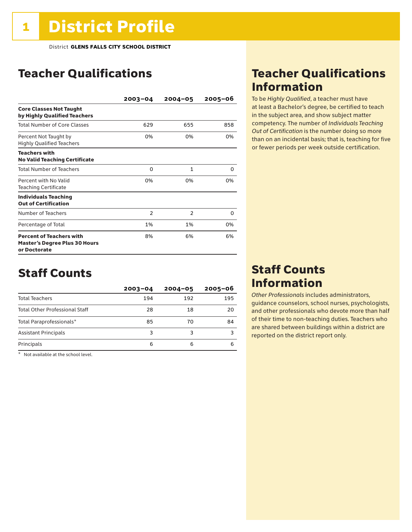## Teacher Qualifications

|                                                                                         | $2003 - 04$    | $2004 - 05$    | 2005-06 |
|-----------------------------------------------------------------------------------------|----------------|----------------|---------|
| <b>Core Classes Not Taught</b><br>by Highly Qualified Teachers                          |                |                |         |
| <b>Total Number of Core Classes</b>                                                     | 629            | 655            | 858     |
| Percent Not Taught by<br><b>Highly Qualified Teachers</b>                               | 0%             | 0%             | 0%      |
| <b>Teachers with</b><br><b>No Valid Teaching Certificate</b>                            |                |                |         |
| <b>Total Number of Teachers</b>                                                         | 0              | $\mathbf{1}$   | 0       |
| Percent with No Valid<br><b>Teaching Certificate</b>                                    | 0%             | 0%             | 0%      |
| <b>Individuals Teaching</b><br><b>Out of Certification</b>                              |                |                |         |
| Number of Teachers                                                                      | $\overline{2}$ | $\overline{2}$ | 0       |
| Percentage of Total                                                                     | 1%             | 1%             | 0%      |
| <b>Percent of Teachers with</b><br><b>Master's Degree Plus 30 Hours</b><br>or Doctorate | 8%             | 6%             | 6%      |

### Staff Counts

|                                       | $2003 - 04$ | $2004 - 05$ | $2005 - 06$ |
|---------------------------------------|-------------|-------------|-------------|
| <b>Total Teachers</b>                 | 194         | 192         | 195         |
| <b>Total Other Professional Staff</b> | 28          | 18          | 20          |
| Total Paraprofessionals*              | 85          | 70          | 84          |
| <b>Assistant Principals</b>           | 3           | 3           |             |
| Principals                            | 6           | 6           | 6           |

\* Not available at the school level.

### Teacher Qualifications Information

To be *Highly Qualified*, a teacher must have at least a Bachelor's degree, be certified to teach in the subject area, and show subject matter competency. The number of *Individuals Teaching Out of Certification* is the number doing so more than on an incidental basis; that is, teaching for five or fewer periods per week outside certification.

### Staff Counts Information

*Other Professionals* includes administrators, guidance counselors, school nurses, psychologists, and other professionals who devote more than half of their time to non-teaching duties. Teachers who are shared between buildings within a district are reported on the district report only.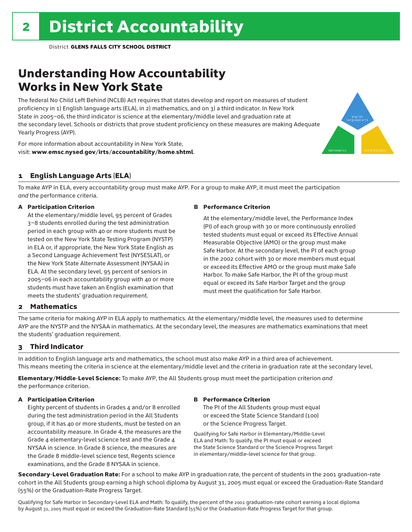## Understanding How Accountability Works in New York State

The federal No Child Left Behind (NCLB) Act requires that states develop and report on measures of student proficiency in 1) English language arts (ELA), in 2) mathematics, and on 3) a third indicator. In New York State in 2005–06, the third indicator is science at the elementary/middle level and graduation rate at the secondary level. Schools or districts that prove student proficiency on these measures are making Adequate Yearly Progress (AYP).

For more information about accountability in New York State, visit: www.emsc.nysed.gov/irts/accountability/home.shtml.

### 1 English Language Arts (ELA)

To make AYP in ELA, every accountability group must make AYP. For a group to make AYP, it must meet the participation *and* the performance criteria.

### A Participation Criterion

At the elementary/middle level, 95 percent of Grades 3–8 students enrolled during the test administration period in each group with 40 or more students must be tested on the New York State Testing Program (NYSTP) in ELA or, if appropriate, the New York State English as a Second Language Achievement Test (NYSESLAT), or the New York State Alternate Assessment (NYSAA) in ELA. At the secondary level, 95 percent of seniors in 2005–06 in each accountability group with 40 or more students must have taken an English examination that meets the students' graduation requirement.

#### B Performance Criterion

At the elementary/middle level, the Performance Index (PI) of each group with 30 or more continuously enrolled tested students must equal or exceed its Effective Annual Measurable Objective (AMO) or the group must make Safe Harbor. At the secondary level, the PI of each group in the 2002 cohort with 30 or more members must equal or exceed its Effective AMO or the group must make Safe Harbor. To make Safe Harbor, the PI of the group must equal or exceed its Safe Harbor Target and the group must meet the qualification for Safe Harbor.

english language arts

mathematics **third indicator** 

### 2 Mathematics

The same criteria for making AYP in ELA apply to mathematics. At the elementary/middle level, the measures used to determine AYP are the NYSTP and the NYSAA in mathematics. At the secondary level, the measures are mathematics examinations that meet the students' graduation requirement.

### 3 Third Indicator

In addition to English language arts and mathematics, the school must also make AYP in a third area of achievement. This means meeting the criteria in science at the elementary/middle level and the criteria in graduation rate at the secondary level.

Elementary/Middle-Level Science: To make AYP, the All Students group must meet the participation criterion *and* the performance criterion.

#### A Participation Criterion

Eighty percent of students in Grades 4 and/or 8 enrolled during the test administration period in the All Students group, if it has 40 or more students, must be tested on an accountability measure. In Grade 4, the measures are the Grade 4 elementary-level science test and the Grade 4 NYSAA in science. In Grade 8 science, the measures are the Grade 8 middle-level science test, Regents science examinations, and the Grade 8 NYSAA in science.

### B Performance Criterion

The PI of the All Students group must equal or exceed the State Science Standard (100) or the Science Progress Target.

Qualifying for Safe Harbor in Elementary/Middle-Level ELA and Math: To qualify, the PI must equal or exceed the State Science Standard or the Science Progress Target in elementary/middle-level science for that group.

Secondary-Level Graduation Rate: For a school to make AYP in graduation rate, the percent of students in the 2001 graduation-rate cohort in the All Students group earning a high school diploma by August 31, 2005 must equal or exceed the Graduation-Rate Standard (55%) or the Graduation-Rate Progress Target.

Qualifying for Safe Harbor in Secondary-Level ELA and Math: To qualify, the percent of the 2001 graduation-rate cohort earning a local diploma by August 31, 2005 must equal or exceed the Graduation-Rate Standard (55%) or the Graduation-Rate Progress Target for that group.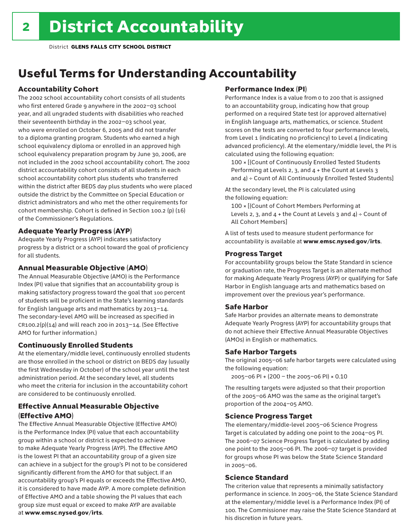## Useful Terms for Understanding Accountability

### Accountability Cohort

The 2002 school accountability cohort consists of all students who first entered Grade 9 anywhere in the 2002–03 school year, and all ungraded students with disabilities who reached their seventeenth birthday in the 2002–03 school year, who were enrolled on October 6, 2005 and did not transfer to a diploma granting program. Students who earned a high school equivalency diploma or enrolled in an approved high school equivalency preparation program by June 30, 2006, are not included in the 2002 school accountability cohort. The 2002 district accountability cohort consists of all students in each school accountability cohort plus students who transferred within the district after BEDS day plus students who were placed outside the district by the Committee on Special Education or district administrators and who met the other requirements for cohort membership. Cohort is defined in Section 100.2 (p) (16) of the Commissioner's Regulations.

### Adequate Yearly Progress (AYP)

Adequate Yearly Progress (AYP) indicates satisfactory progress by a district or a school toward the goal of proficiency for all students.

### Annual Measurable Objective (AMO)

The Annual Measurable Objective (AMO) is the Performance Index (PI) value that signifies that an accountability group is making satisfactory progress toward the goal that 100 percent of students will be proficient in the State's learning standards for English language arts and mathematics by 2013–14. The secondary-level AMO will be increased as specified in  $CR100.2(p)(14)$  and will reach 200 in 2013-14. (See Effective AMO for further information.)

### Continuously Enrolled Students

At the elementary/middle level, continuously enrolled students are those enrolled in the school or district on BEDS day (usually the first Wednesday in October) of the school year until the test administration period. At the secondary level, all students who meet the criteria for inclusion in the accountability cohort are considered to be continuously enrolled.

### Effective Annual Measurable Objective (Effective AMO)

The Effective Annual Measurable Objective (Effective AMO) is the Performance Index (PI) value that each accountability group within a school or district is expected to achieve to make Adequate Yearly Progress (AYP). The Effective AMO is the lowest PI that an accountability group of a given size can achieve in a subject for the group's PI not to be considered significantly different from the AMO for that subject. If an accountability group's PI equals or exceeds the Effective AMO, it is considered to have made AYP. A more complete definition of Effective AMO and a table showing the PI values that each group size must equal or exceed to make AYP are available at www.emsc.nysed.gov/irts.

### Performance Index (PI)

Performance Index is a value from 0 to 200 that is assigned to an accountability group, indicating how that group performed on a required State test (or approved alternative) in English language arts, mathematics, or science. Student scores on the tests are converted to four performance levels, from Level 1 (indicating no proficiency) to Level 4 (indicating advanced proficiency). At the elementary/middle level, the PI is calculated using the following equation:

100 × [(Count of Continuously Enrolled Tested Students Performing at Levels 2, 3, and 4 + the Count at Levels 3 and  $4$ ) ÷ Count of All Continuously Enrolled Tested Students]

At the secondary level, the PI is calculated using the following equation:

100 × [(Count of Cohort Members Performing at Levels 2, 3, and  $4 +$  the Count at Levels 3 and  $4$ ) ÷ Count of All Cohort Members]

A list of tests used to measure student performance for accountability is available at www.emsc.nysed.gov/irts.

### Progress Target

For accountability groups below the State Standard in science or graduation rate, the Progress Target is an alternate method for making Adequate Yearly Progress (AYP) or qualifying for Safe Harbor in English language arts and mathematics based on improvement over the previous year's performance.

### Safe Harbor

Safe Harbor provides an alternate means to demonstrate Adequate Yearly Progress (AYP) for accountability groups that do not achieve their Effective Annual Measurable Objectives (AMOs) in English or mathematics.

### Safe Harbor Targets

The original 2005–06 safe harbor targets were calculated using the following equation:

2005–06 PI + (200 – the 2005–06 PI) × 0.10

The resulting targets were adjusted so that their proportion of the 2005–06 AMO was the same as the original target's proportion of the 2004–05 AMO.

### Science Progress Target

The elementary/middle-level 2005–06 Science Progress Target is calculated by adding one point to the 2004–05 PI. The 2006–07 Science Progress Target is calculated by adding one point to the 2005–06 PI. The 2006–07 target is provided for groups whose PI was below the State Science Standard in 2005–06.

### Science Standard

The criterion value that represents a minimally satisfactory performance in science. In 2005–06, the State Science Standard at the elementary/middle level is a Performance Index (PI) of 100. The Commissioner may raise the State Science Standard at his discretion in future years.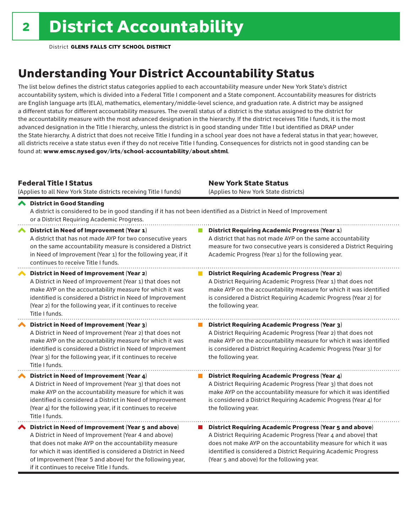## Understanding Your District Accountability Status

The list below defines the district status categories applied to each accountability measure under New York State's district accountability system, which is divided into a Federal Title I component and a State component. Accountability measures for districts are English language arts (ELA), mathematics, elementary/middle-level science, and graduation rate. A district may be assigned a different status for different accountability measures. The overall status of a district is the status assigned to the district for the accountability measure with the most advanced designation in the hierarchy. If the district receives Title I funds, it is the most advanced designation in the Title I hierarchy, unless the district is in good standing under Title I but identified as DRAP under the State hierarchy. A district that does not receive Title I funding in a school year does not have a federal status in that year; however, all districts receive a state status even if they do not receive Title I funding. Consequences for districts not in good standing can be found at: www.emsc.nysed.gov/irts/school-accountability/about.shtml.

### Federal Title I Status

New York State Status

|   | (Applies to all New York State districts receiving Title I funds)                                                                                                                                                                                                                                                                            | (Applies to New York State districts)                                                                                                                                                                                                                                                                                 |
|---|----------------------------------------------------------------------------------------------------------------------------------------------------------------------------------------------------------------------------------------------------------------------------------------------------------------------------------------------|-----------------------------------------------------------------------------------------------------------------------------------------------------------------------------------------------------------------------------------------------------------------------------------------------------------------------|
|   | ← District in Good Standing<br>A district is considered to be in good standing if it has not been identified as a District in Need of Improvement<br>or a District Requiring Academic Progress.                                                                                                                                              |                                                                                                                                                                                                                                                                                                                       |
|   | District in Need of Improvement (Year 1)<br>A district that has not made AYP for two consecutive years<br>on the same accountability measure is considered a District<br>in Need of Improvement (Year 1) for the following year, if it<br>continues to receive Title I funds.                                                                | <b>District Requiring Academic Progress (Year 1)</b><br>A district that has not made AYP on the same accountability<br>measure for two consecutive years is considered a District Requiring<br>Academic Progress (Year 1) for the following year.                                                                     |
|   | District in Need of Improvement (Year 2)<br>A District in Need of Improvement (Year 1) that does not<br>make AYP on the accountability measure for which it was<br>identified is considered a District in Need of Improvement<br>(Year 2) for the following year, if it continues to receive<br>Title I funds.                               | <b>District Requiring Academic Progress (Year 2)</b><br>A District Requiring Academic Progress (Year 1) that does not<br>make AYP on the accountability measure for which it was identified<br>is considered a District Requiring Academic Progress (Year 2) for<br>the following year.                               |
|   | District in Need of Improvement (Year 3)<br>A District in Need of Improvement (Year 2) that does not<br>make AYP on the accountability measure for which it was<br>identified is considered a District in Need of Improvement<br>(Year 3) for the following year, if it continues to receive<br>Title I funds.                               | <b>District Requiring Academic Progress (Year 3)</b><br>A District Requiring Academic Progress (Year 2) that does not<br>make AYP on the accountability measure for which it was identified<br>is considered a District Requiring Academic Progress (Year 3) for<br>the following year.                               |
|   | District in Need of Improvement (Year 4)<br>A District in Need of Improvement (Year 3) that does not<br>make AYP on the accountability measure for which it was<br>identified is considered a District in Need of Improvement<br>(Year 4) for the following year, if it continues to receive<br>Title I funds.                               | <b>District Requiring Academic Progress (Year 4)</b><br>A District Requiring Academic Progress (Year 3) that does not<br>make AYP on the accountability measure for which it was identified<br>is considered a District Requiring Academic Progress (Year 4) for<br>the following year.                               |
| ∧ | District in Need of Improvement (Year 5 and above)<br>A District in Need of Improvement (Year 4 and above)<br>that does not make AYP on the accountability measure<br>for which it was identified is considered a District in Need<br>of Improvement (Year 5 and above) for the following year,<br>if it continues to receive Title I funds. | <b>District Requiring Academic Progress (Year 5 and above)</b><br>A District Requiring Academic Progress (Year 4 and above) that<br>does not make AYP on the accountability measure for which it was<br>identified is considered a District Requiring Academic Progress<br>(Year 5 and above) for the following year. |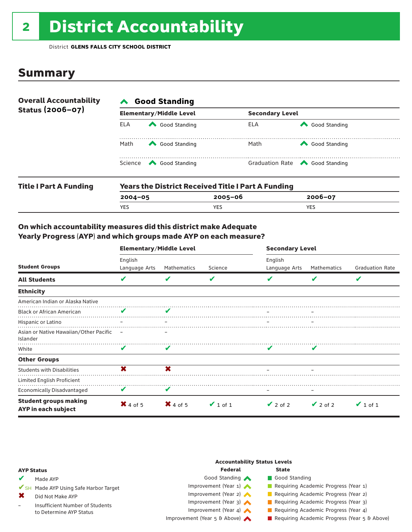# 2 District Accountability

District **GLENS FALLS CITY SCHOOL DISTRICT**

### **Summary**

| <b>Overall Accountability</b><br>Status (2006-07) | <b>Good Standing</b> |                                                                                                                                                                                                                                                                                                                                                                       |                        |                                                       |  |  |  |
|---------------------------------------------------|----------------------|-----------------------------------------------------------------------------------------------------------------------------------------------------------------------------------------------------------------------------------------------------------------------------------------------------------------------------------------------------------------------|------------------------|-------------------------------------------------------|--|--|--|
|                                                   |                      | <b>Elementary/Middle Level</b>                                                                                                                                                                                                                                                                                                                                        | <b>Secondary Level</b> |                                                       |  |  |  |
|                                                   | ELA                  | Good Standing                                                                                                                                                                                                                                                                                                                                                         | ELA                    | Good Standing                                         |  |  |  |
|                                                   | Math                 | Good Standing                                                                                                                                                                                                                                                                                                                                                         | Math                   | Good Standing                                         |  |  |  |
|                                                   |                      | Science <a> Science</a> Science Science Science <a> Science <a> Science <a> Science <a> Science <a> Science <a> Science <a> Science <a> Science <a> Science <a> Science <a> Science <a<br></a<br> Science <a> Science <a<br <="" td=""><td></td><td>Graduation Rate <a> Good Standing</a> Graduation Rate</td></a<br></a></a></a></a></a></a></a></a></a></a></a></a> |                        | Graduation Rate <a> Good Standing</a> Graduation Rate |  |  |  |
| <b>Title I Part A Funding</b>                     |                      | <b>Years the District Received Title I Part A Funding</b>                                                                                                                                                                                                                                                                                                             |                        |                                                       |  |  |  |

| Title Frant A Funding | rears the District Received Title Fraft A Funding |         |             |  |  |  |  |
|-----------------------|---------------------------------------------------|---------|-------------|--|--|--|--|
|                       | $2004 - 05$                                       | 2005-06 | $2006 - 07$ |  |  |  |  |
|                       | <b>YES</b>                                        | YES     | <b>YES</b>  |  |  |  |  |
|                       |                                                   |         |             |  |  |  |  |

### On which accountability measures did this district make Adequate Yearly Progress (AYP) and which groups made AYP on each measure?

|                                                     | <b>Elementary/Middle Level</b> |             |               | <b>Secondary Level</b>   |               |                        |  |
|-----------------------------------------------------|--------------------------------|-------------|---------------|--------------------------|---------------|------------------------|--|
| <b>Student Groups</b>                               | English<br>Language Arts       | Mathematics | Science       | English<br>Language Arts | Mathematics   | <b>Graduation Rate</b> |  |
| <b>All Students</b>                                 | V                              | V           | V             |                          | V             | V                      |  |
| <b>Ethnicity</b>                                    |                                |             |               |                          |               |                        |  |
| American Indian or Alaska Native                    |                                |             |               |                          |               |                        |  |
| <b>Black or African American</b>                    |                                |             |               |                          |               |                        |  |
| Hispanic or Latino                                  |                                |             |               |                          |               |                        |  |
| Asian or Native Hawaiian/Other Pacific<br>Islander  | $\equiv$                       |             |               |                          |               |                        |  |
| White                                               | V                              | V           |               |                          | v             |                        |  |
| <b>Other Groups</b>                                 |                                |             |               |                          |               |                        |  |
| <b>Students with Disabilities</b>                   | ×                              | $\mathbf x$ |               |                          |               |                        |  |
| Limited English Proficient                          |                                |             |               |                          |               |                        |  |
| <b>Economically Disadvantaged</b>                   | V                              | V           |               |                          |               |                        |  |
| <b>Student groups making</b><br>AYP in each subject | $\mathsf{X}$ 4 of 5            | $X$ 4 of 5  | $\vee$ 1 of 1 | $\vee$ 2 of 2            | $\vee$ 2 of 2 | $\vee$ 1 of 1          |  |

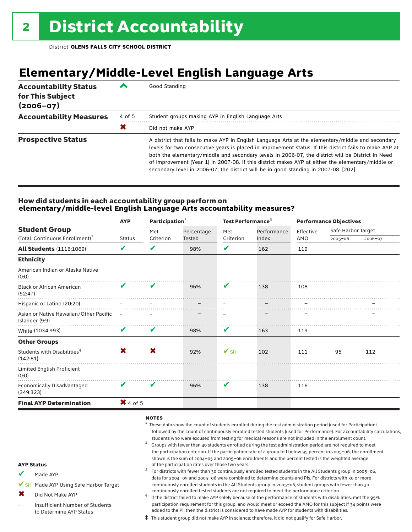## **Elementary/Middle-Level English Language Arts**

| <b>Accountability Status</b><br>for This Subject<br>$(2006 - 07)$ | ∕      | Good Standing                                                                                                                                                                                                                                                                                                                                                                                                                                                                                                 |
|-------------------------------------------------------------------|--------|---------------------------------------------------------------------------------------------------------------------------------------------------------------------------------------------------------------------------------------------------------------------------------------------------------------------------------------------------------------------------------------------------------------------------------------------------------------------------------------------------------------|
| <b>Accountability Measures</b>                                    | 4 of 5 | Student groups making AYP in English Language Arts                                                                                                                                                                                                                                                                                                                                                                                                                                                            |
|                                                                   | Х      | Did not make AYP                                                                                                                                                                                                                                                                                                                                                                                                                                                                                              |
| <b>Prospective Status</b>                                         |        | A district that fails to make AYP in English Language Arts at the elementary/middle and secondary<br>levels for two consecutive years is placed in improvement status. If this district fails to make AYP at<br>both the elementary/middle and secondary levels in 2006-07, the district will be District In Need<br>of Improvement (Year 1) in 2007-08. If this district makes AYP at either the elementary/middle or<br>secondary level in 2006-07, the district will be in good standing in 2007-08. [202] |

### How did students in each accountability group perform on **elementary/middle-level English Language Arts accountability measures?**

|                                                            | <b>AYP</b>          | Participation <sup>2</sup> |            | Test Performance <sup>3</sup> |             | <b>Performance Objectives</b> |                    |         |
|------------------------------------------------------------|---------------------|----------------------------|------------|-------------------------------|-------------|-------------------------------|--------------------|---------|
| <b>Student Group</b>                                       |                     | Met                        | Percentage | Met                           | Performance | Effective                     | Safe Harbor Target |         |
| (Total: Continuous Enrollment) <sup>1</sup>                | <b>Status</b>       | Criterion                  | Tested     | Criterion                     | Index       | AMO                           | $2005 - 06$        | 2006-07 |
| <b>All Students (1116:1069)</b>                            | V                   | V                          | 98%        | ✔                             | 162         | 119                           |                    |         |
| <b>Ethnicity</b>                                           |                     |                            |            |                               |             |                               |                    |         |
| American Indian or Alaska Native<br>(0:0)                  |                     |                            |            |                               |             |                               |                    |         |
| <b>Black or African American</b><br>(52:47)                | $\mathbf{v}$        | $\boldsymbol{\mathcal{U}}$ | 96%        | V                             | 138         | 108                           |                    |         |
| Hispanic or Latino (20:20)                                 |                     |                            |            |                               |             |                               |                    |         |
| Asian or Native Hawaiian/Other Pacific –<br>Islander (9:9) |                     |                            |            |                               |             |                               |                    |         |
| White (1034:993)                                           | V                   | V                          | 98%        | V                             | 163         | 119                           |                    |         |
| <b>Other Groups</b>                                        |                     |                            |            |                               |             |                               |                    |         |
| Students with Disabilities <sup>4</sup><br>(142:81)        | X                   | X                          | 92%        | $\mathbf{V}_{\text{SH}}$      | 102         | 111                           | 95                 | 112     |
| Limited English Proficient<br>(0:0)                        |                     |                            |            |                               |             |                               |                    |         |
| <b>Economically Disadvantaged</b><br>(349:323)             | V                   | V                          | 96%        | V                             | 138         | 116                           |                    |         |
| <b>Final AYP Determination</b>                             | $\mathsf{X}$ 4 of 5 |                            |            |                               |             |                               |                    |         |
|                                                            |                     |                            |            |                               |             |                               |                    |         |

#### notes

- $1$  These data show the count of students enrolled during the test administration period (used for Participation) followed by the count of continuously enrolled tested students (used for Performance). For accountability calculations, students who were excused from testing for medical reasons are not included in the enrollment count.<br><sup>2</sup> Groups with fewer than 40 students enrolled during the test administration period are not required to meet
- the participation criterion. If the participation rate of a group fell below 95 percent in 2005–06, the enrollment shown is the sum of 2004–05 and 2005–06 enrollments and the percent tested is the weighted average<br>of the participation rates over those two years. of the participation rates over those two years. <sup>3</sup> For districts with fewer than 30 continuously enrolled tested students in the All Students group in 2005–06,
- AYP Status Made AYP ✔
- ✔SH Made AYP Using Safe Harbor Target
- Did Not Make AYP ✖
- Insufficient Number of Students to Determine AYP Status –
- continuously enrolled tested students are not required to meet the performance criterion.<br>If the district failed to make AYP solely because of the performance of students with disabilities, met the 95% participation requirement for this group, and would meet or exceed the AMO for this subject if 34 points were added to the PI, then the district is considered to have made AYP for students with disabilities.

data for 2004–05 and 2005–06 were combined to determine counts and PIs. For districts with 30 or more continuously enrolled students in the All Students group in 2005–06, student groups with fewer than 30

‡ This student group did not make AYP in science; therefore, it did not qualify for Safe Harbor.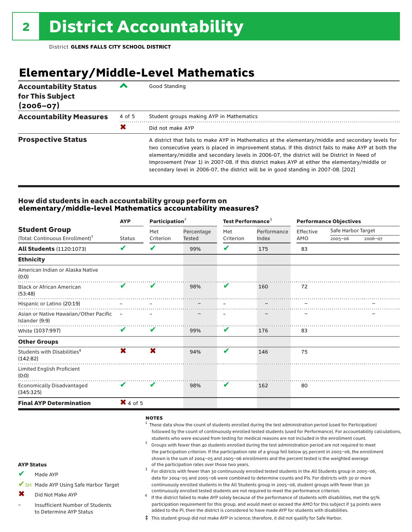## **Elementary/Middle-Level Mathematics**

| <b>Accountability Status</b><br>for This Subject<br>$(2006 - 07)$ | ╱      | Good Standing                                                                                                                                                                                                                                                                                                                                                                                                                                                                                       |
|-------------------------------------------------------------------|--------|-----------------------------------------------------------------------------------------------------------------------------------------------------------------------------------------------------------------------------------------------------------------------------------------------------------------------------------------------------------------------------------------------------------------------------------------------------------------------------------------------------|
| <b>Accountability Measures</b>                                    | 4 of 5 | Student groups making AYP in Mathematics                                                                                                                                                                                                                                                                                                                                                                                                                                                            |
|                                                                   | Х      | Did not make AYP                                                                                                                                                                                                                                                                                                                                                                                                                                                                                    |
| <b>Prospective Status</b>                                         |        | A district that fails to make AYP in Mathematics at the elementary/middle and secondary levels for<br>two consecutive years is placed in improvement status. If this district fails to make AYP at both the<br>elementary/middle and secondary levels in 2006-07, the district will be District In Need of<br>Improvement (Year 1) in 2007-08. If this district makes AYP at either the elementary/middle or<br>secondary level in 2006-07, the district will be in good standing in 2007-08. [202] |

### How did students in each accountability group perform on **elementary/middle-level Mathematics accountability measures?**

|                                                            | <b>AYP</b>          | Participation <sup>2</sup> |               | Test Performance <sup>3</sup> |                | <b>Performance Objectives</b> |                    |         |
|------------------------------------------------------------|---------------------|----------------------------|---------------|-------------------------------|----------------|-------------------------------|--------------------|---------|
| <b>Student Group</b>                                       |                     | Met                        | Percentage    | Met                           | Performance    | Effective                     | Safe Harbor Target |         |
| (Total: Continuous Enrollment) <sup>1</sup>                | <b>Status</b>       | Criterion                  | <b>Tested</b> | Criterion                     | Index          | AMO                           | $2005 - 06$        | 2006-07 |
| <b>All Students (1120:1073)</b>                            | V                   | V                          | 99%           | V                             | 175            | 83                            |                    |         |
| <b>Ethnicity</b>                                           |                     |                            |               |                               |                |                               |                    |         |
| American Indian or Alaska Native<br>(0:0)                  |                     |                            |               |                               |                |                               |                    |         |
| <b>Black or African American</b><br>(53:48)                | $\mathbf v$         | V                          | 98%           | V                             | 160            | 72                            |                    |         |
| Hispanic or Latino (20:19)                                 |                     |                            |               |                               |                |                               |                    |         |
| Asian or Native Hawaiian/Other Pacific -<br>Islander (9:9) |                     |                            |               |                               |                |                               |                    |         |
| White (1037:997)                                           | V                   | V                          | 99%           | V                             | 176            | 83                            |                    |         |
| <b>Other Groups</b>                                        |                     |                            |               |                               |                |                               |                    |         |
| Students with Disabilities <sup>4</sup><br>(142:82)        | X                   | X                          | 94%           | V                             | 146            | 75                            |                    |         |
| Limited English Proficient<br>(0:0)                        |                     |                            |               |                               | . <del>.</del> |                               |                    |         |
| <b>Economically Disadvantaged</b><br>(345:325)             | V                   | V                          | 98%           | V                             | 162            | 80                            |                    |         |
| <b>Final AYP Determination</b>                             | $\mathsf{X}$ 4 of 5 |                            |               |                               |                |                               |                    |         |
|                                                            |                     |                            |               |                               |                |                               |                    |         |

#### notes

- $1$  These data show the count of students enrolled during the test administration period (used for Participation) followed by the count of continuously enrolled tested students (used for Performance). For accountability calculations,
- students who were excused from testing for medical reasons are not included in the enrollment count.<br><sup>2</sup> Groups with fewer than 40 students enrolled during the test administration period are not required to meet the participation criterion. If the participation rate of a group fell below 95 percent in 2005–06, the enrollment shown is the sum of 2004–05 and 2005–06 enrollments and the percent tested is the weighted average<br>of the participation rates over those two years.
- of the participation rates over those two years. <sup>3</sup> For districts with fewer than 30 continuously enrolled tested students in the All Students group in 2005–06, data for 2004–05 and 2005–06 were combined to determine counts and PIs. For districts with 30 or more continuously enrolled students in the All Students group in 2005–06, student groups with fewer than 30
- continuously enrolled tested students are not required to meet the performance criterion. <sup>4</sup> If the district failed to make AYP solely because of the performance of students with disabilities, met the 95% participation requirement for this group, and would meet or exceed the AMO for this subject if 34 points were added to the PI, then the district is considered to have made AYP for students with disabilities.
- ‡ This student group did not make AYP in science; therefore, it did not qualify for Safe Harbor.

#### AYP Status

- Made AYP ✔
- ✔SH Made AYP Using Safe Harbor Target
- Did Not Make AYP  $\mathbf x$
- Insufficient Number of Students to Determine AYP Status –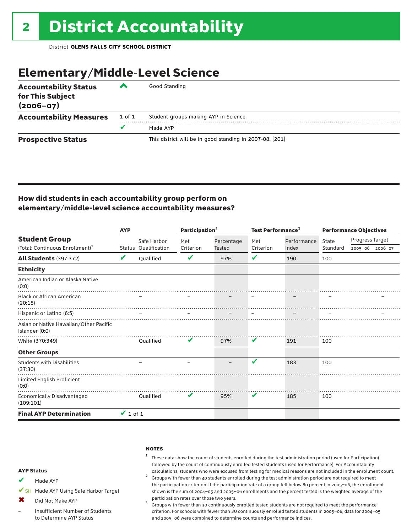## Elementary/Middle-Level Science

| <b>Accountability Status</b><br>for This Subject<br>$(2006 - 07)$ | ◚      | Good Standing                                            |
|-------------------------------------------------------------------|--------|----------------------------------------------------------|
| <b>Accountability Measures</b>                                    | 1 of 1 | Student groups making AYP in Science                     |
|                                                                   | v      | Made AYP                                                 |
| <b>Prospective Status</b>                                         |        | This district will be in good standing in 2007-08. [201] |

### How did students in each accountability group perform on elementary/middle-level science accountability measures?

|                                                          | <b>AYP</b>    |                      | Participation $2$ |            | Test Performance <sup>3</sup> |             | <b>Performance Objectives</b> |                 |  |
|----------------------------------------------------------|---------------|----------------------|-------------------|------------|-------------------------------|-------------|-------------------------------|-----------------|--|
| <b>Student Group</b>                                     |               | Safe Harbor          | Met               | Percentage | Met                           | Performance | State                         | Progress Target |  |
| (Total: Continuous Enrollment) <sup>1</sup>              |               | Status Oualification | Criterion         | Tested     | Criterion                     | Index       | Standard                      | 2005-06 2006-07 |  |
| <b>All Students (397:372)</b>                            | V             | <b>Oualified</b>     | V                 | 97%        | V                             | 190         | 100                           |                 |  |
| <b>Ethnicity</b>                                         |               |                      |                   |            |                               |             |                               |                 |  |
| American Indian or Alaska Native<br>(0:0)                |               |                      |                   |            |                               |             |                               |                 |  |
| <b>Black or African American</b><br>(20:18)              |               |                      |                   |            |                               |             |                               |                 |  |
| Hispanic or Latino (6:5)                                 |               |                      |                   |            |                               |             |                               |                 |  |
| Asian or Native Hawaiian/Other Pacific<br>Islander (0:0) |               |                      |                   |            |                               |             |                               |                 |  |
| White (370:349)                                          |               | Oualified            | V                 | 97%        | V                             | 191         | 100                           |                 |  |
| <b>Other Groups</b>                                      |               |                      |                   |            |                               |             |                               |                 |  |
| <b>Students with Disabilities</b><br>(37:30)             |               |                      |                   |            | $\mathbf{v}$                  | 183         | 100                           |                 |  |
| Limited English Proficient<br>(0:0)                      |               |                      |                   |            |                               |             |                               |                 |  |
| Economically Disadvantaged<br>(109:101)                  |               | Oualified            | V                 | 95%        | V                             | 185         | 100                           |                 |  |
| <b>Final AYP Determination</b>                           | $\vee$ 1 of 1 |                      |                   |            |                               |             |                               |                 |  |

#### **NOTES**

<sup>1</sup> These data show the count of students enrolled during the test administration period (used for Participation) followed by the count of continuously enrolled tested students (used for Performance). For Accountability

calculations, students who were excused from testing for medical reasons are not included in the enrollment count.<br><sup>2</sup> Groups with fewer than 40 students enrolled during the test administration period are not required to m the participation criterion. If the participation rate of a group fell below 80 percent in 2005–06, the enrollment shown is the sum of 2004–05 and 2005–06 enrollments and the percent tested is the weighted average of the

participation rates over those two years.<br> $3$  Groups with fewer than 30 continuously enrolled tested students are not required to meet the performance criterion. For schools with fewer than 30 continuously enrolled tested students in 2005–06, data for 2004–05 and 2005–06 were combined to determine counts and performance indices.

#### AYP Status

- Made AYP ✔
- ✔SH Made AYP Using Safe Harbor Target
- Did Not Make AYP  $\mathbf x$
- Insufficient Number of Students to Determine AYP Status –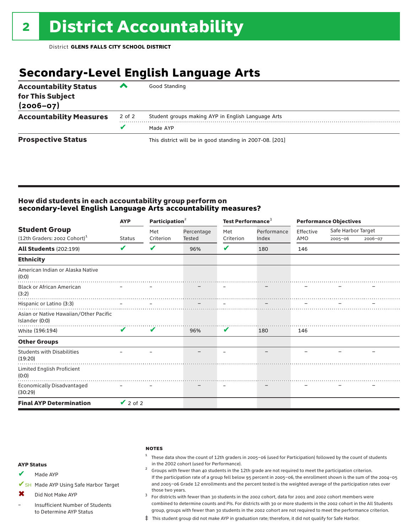## **Secondary-Level English Language Arts**

| <b>Accountability Status</b><br>for This Subject<br>$(2006 - 07)$ | ▰      | Good Standing                                            |
|-------------------------------------------------------------------|--------|----------------------------------------------------------|
| <b>Accountability Measures</b>                                    | 2 of 2 | Student groups making AYP in English Language Arts       |
|                                                                   |        | Made AYP                                                 |
| <b>Prospective Status</b>                                         |        | This district will be in good standing in 2007-08. [201] |

### How did students in each accountability group perform on **secondary-level English Language Arts accountability measures?**

|                                                          | <b>AYP</b>    | Participation <sup>2</sup> |                      | Test Performance <sup>3</sup> |             | <b>Performance Objectives</b> |                    |         |
|----------------------------------------------------------|---------------|----------------------------|----------------------|-------------------------------|-------------|-------------------------------|--------------------|---------|
| <b>Student Group</b>                                     |               | Met                        | Percentage<br>Tested | Met                           | Performance | Effective                     | Safe Harbor Target |         |
| (12th Graders: 2002 Cohort) <sup>1</sup>                 | <b>Status</b> | Criterion                  |                      | Criterion                     | Index       | AMO                           | $2005 - 06$        | 2006-07 |
| <b>All Students (202:199)</b>                            | V             | V                          | 96%                  | V                             | 180         | 146                           |                    |         |
| <b>Ethnicity</b>                                         |               |                            |                      |                               |             |                               |                    |         |
| American Indian or Alaska Native<br>(0:0)                |               |                            |                      |                               |             |                               |                    |         |
| <b>Black or African American</b><br>(3:2)                |               |                            |                      |                               |             |                               |                    |         |
| Hispanic or Latino (3:3)                                 |               |                            |                      |                               |             |                               |                    |         |
| Asian or Native Hawaiian/Other Pacific<br>Islander (0:0) |               |                            |                      |                               |             |                               |                    |         |
| White (196:194)                                          | V             | V                          | 96%                  | V                             | 180         | 146                           |                    |         |
| <b>Other Groups</b>                                      |               |                            |                      |                               |             |                               |                    |         |
| <b>Students with Disabilities</b><br>(19:20)             |               |                            |                      |                               |             |                               |                    |         |
| Limited English Proficient<br>(0:0)                      |               |                            |                      |                               |             |                               |                    |         |
| Economically Disadvantaged<br>(30:29)                    |               |                            |                      |                               |             |                               |                    |         |
| <b>Final AYP Determination</b>                           | $\vee$ 2 of 2 |                            |                      |                               |             |                               |                    |         |

#### **NOTES**

 $1$  These data show the count of 12th graders in 2005-06 (used for Participation) followed by the count of students in the 2002 cohort (used for Performance). <sup>2</sup> Groups with fewer than 40 students in the 12th grade are not required to meet the participation criterion.

#### AYP Status

Made AYP ✔

✔SH Made AYP Using Safe Harbor Target

Did Not Make AYP  $\mathbf x$ 

Insufficient Number of Students to Determine AYP Status –

those two years.  $3$  For districts with fewer than 30 students in the 2002 cohort, data for 2001 and 2002 cohort members were combined to determine counts and PIs. For districts with 30 or more students in the 2002 cohort in the All Students group, groups with fewer than 30 students in the 2002 cohort are not required to meet the performance criterion.

If the participation rate of a group fell below 95 percent in 2005–06, the enrollment shown is the sum of the 2004–05 and 2005–06 Grade 12 enrollments and the percent tested is the weighted average of the participation rates over

‡ This student group did not make AYP in graduation rate; therefore, it did not qualify for Safe Harbor.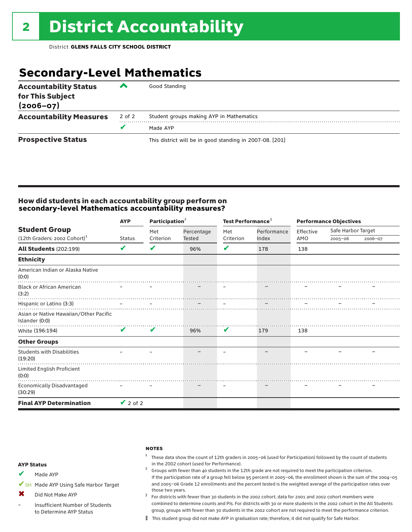## **Secondary-Level Mathematics**

| <b>Accountability Status</b><br>for This Subject<br>$(2006 - 07)$ | ▞      | Good Standing                                            |
|-------------------------------------------------------------------|--------|----------------------------------------------------------|
| <b>Accountability Measures</b>                                    | 2 of 2 | Student groups making AYP in Mathematics                 |
|                                                                   |        | Made AYP                                                 |
| <b>Prospective Status</b>                                         |        | This district will be in good standing in 2007-08. [201] |

### How did students in each accountability group perform on **secondary-level Mathematics accountability measures?**

|                                                          | <b>AYP</b>    | Participation <sup>2</sup> |               | Test Performance <sup>3</sup> |             | <b>Performance Objectives</b> |                    |         |
|----------------------------------------------------------|---------------|----------------------------|---------------|-------------------------------|-------------|-------------------------------|--------------------|---------|
| <b>Student Group</b>                                     |               | Met                        | Percentage    | Met                           | Performance | Effective                     | Safe Harbor Target |         |
| $(12th$ Graders: 2002 Cohort) <sup>1</sup>               | Status        | Criterion                  | <b>Tested</b> | Criterion                     | Index       | AMO                           | $2005 - 06$        | 2006-07 |
| <b>All Students (202:199)</b>                            | V             | V                          | 96%           | V                             | 178         | 138                           |                    |         |
| <b>Ethnicity</b>                                         |               |                            |               |                               |             |                               |                    |         |
| American Indian or Alaska Native<br>(0:0)                |               |                            |               |                               |             |                               |                    |         |
| <b>Black or African American</b><br>(3:2)                |               |                            |               |                               |             |                               |                    |         |
| Hispanic or Latino (3:3)                                 |               |                            |               |                               |             |                               |                    |         |
| Asian or Native Hawaiian/Other Pacific<br>Islander (0:0) |               |                            |               |                               |             |                               |                    |         |
| White (196:194)                                          | V             | V                          | 96%           | V                             | 179         | 138                           |                    |         |
| <b>Other Groups</b>                                      |               |                            |               |                               |             |                               |                    |         |
| <b>Students with Disabilities</b><br>(19:20)             |               |                            |               |                               |             |                               |                    |         |
| Limited English Proficient<br>(0:0)                      |               |                            |               |                               |             |                               |                    |         |
| <b>Economically Disadvantaged</b><br>(30:29)             |               |                            |               |                               |             |                               |                    |         |
| <b>Final AYP Determination</b>                           | $\vee$ 2 of 2 |                            |               |                               |             |                               |                    |         |

#### **NOTES**

 $1$  These data show the count of 12th graders in 2005-06 (used for Participation) followed by the count of students in the 2002 cohort (used for Performance).<br><sup>2</sup> Groups with fewer than 40 students in the 12th grade are not required to meet the participation criterion.

### AYP Status

Made AYP ✔

✔SH Made AYP Using Safe Harbor Target

Did Not Make AYP ✖

Insufficient Number of Students to Determine AYP Status –

those two years.  $3$  For districts with fewer than 30 students in the 2002 cohort, data for 2001 and 2002 cohort members were combined to determine counts and PIs. For districts with 30 or more students in the 2002 cohort in the All Students group, groups with fewer than 30 students in the 2002 cohort are not required to meet the performance criterion.

If the participation rate of a group fell below 95 percent in 2005–06, the enrollment shown is the sum of the 2004–05 and 2005–06 Grade 12 enrollments and the percent tested is the weighted average of the participation rates over

‡ This student group did not make AYP in graduation rate; therefore, it did not qualify for Safe Harbor.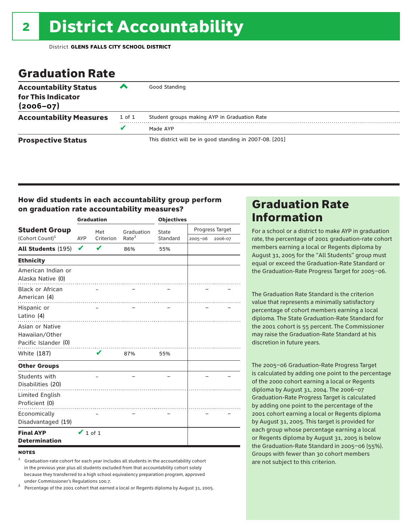### Graduation Rate

| <b>Accountability Status</b><br>for This Indicator<br>$(2006 - 07)$ | ‴      | Good Standing                                            |
|---------------------------------------------------------------------|--------|----------------------------------------------------------|
| <b>Accountability Measures</b>                                      | 1 of 1 | Student groups making AYP in Graduation Rate             |
|                                                                     | v      | Made AYP                                                 |
| <b>Prospective Status</b>                                           |        | This district will be in good standing in 2007-08. [201] |

### How did students in each accountability group perform on graduation rate accountability measures?

|                                                           |                         | <b>Graduation</b> |                   | <b>Objectives</b> |                 |         |  |
|-----------------------------------------------------------|-------------------------|-------------------|-------------------|-------------------|-----------------|---------|--|
| <b>Student Group</b>                                      |                         | Met               | Graduation        | State             | Progress Target |         |  |
| (Cohort Count) <sup>1</sup>                               | Criterion<br><b>AYP</b> |                   | Rate <sup>2</sup> | Standard          | $2005 - 06$     | 2006-07 |  |
| All Students (195)                                        | V                       |                   | 86%               | 55%               |                 |         |  |
| <b>Ethnicity</b>                                          |                         |                   |                   |                   |                 |         |  |
| American Indian or<br>Alaska Native (0)                   |                         |                   |                   |                   |                 |         |  |
| <b>Black or African</b><br>American (4)                   |                         |                   |                   |                   |                 |         |  |
| Hispanic or<br>Latino (4)                                 |                         |                   |                   |                   |                 |         |  |
| Asian or Native<br>Hawaiian/Other<br>Pacific Islander (0) |                         |                   |                   |                   |                 |         |  |
| White (187)                                               |                         | v                 | 87%               | 55%               |                 |         |  |
| <b>Other Groups</b>                                       |                         |                   |                   |                   |                 |         |  |
| Students with<br>Disabilities (20)                        |                         |                   |                   |                   |                 |         |  |
| Limited English<br>Proficient (0)                         |                         |                   |                   |                   |                 |         |  |
| Economically<br>Disadvantaged (19)                        |                         |                   |                   |                   |                 |         |  |
| <b>Final AYP</b><br><b>Determination</b>                  | $\vee$ 1 of 1           |                   |                   |                   |                 |         |  |

#### **NOTES**

<sup>1</sup> Graduation-rate cohort for each year includes all students in the accountability cohort in the previous year plus all students excluded from that accountability cohort solely because they transferred to a high school equivalency preparation program, approved

under Commissioner's Regulations 100.7. <sup>2</sup> Percentage of the 2001 cohort that earned a local or Regents diploma by August 31, 2005.

### Graduation Rate Information

For a school or a district to make AYP in graduation rate, the percentage of 2001 graduation-rate cohort members earning a local or Regents diploma by August 31, 2005 for the "All Students" group must equal or exceed the Graduation-Rate Standard or the Graduation-Rate Progress Target for 2005–06.

The Graduation Rate Standard is the criterion value that represents a minimally satisfactory percentage of cohort members earning a local diploma. The State Graduation-Rate Standard for the 2001 cohort is 55 percent. The Commissioner may raise the Graduation-Rate Standard at his discretion in future years.

The 2005–06 Graduation-Rate Progress Target is calculated by adding one point to the percentage of the 2000 cohort earning a local or Regents diploma by August 31, 2004. The 2006–07 Graduation-Rate Progress Target is calculated by adding one point to the percentage of the 2001 cohort earning a local or Regents diploma by August 31, 2005. This target is provided for each group whose percentage earning a local or Regents diploma by August 31, 2005 is below the Graduation-Rate Standard in 2005–06 (55%). Groups with fewer than 30 cohort members are not subject to this criterion.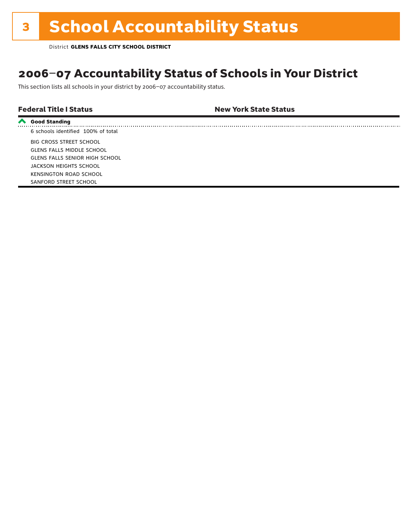### 2006–07 Accountability Status of Schools in Your District

This section lists all schools in your district by 2006–07 accountability status.

| <b>Federal Title I Status</b> | <b>New York State Status</b> |
|-------------------------------|------------------------------|
|                               |                              |

| <b>Good Standing</b>                  |
|---------------------------------------|
| 6 schools identified 100% of total    |
| BIG CROSS STREET SCHOOL               |
| <b>GLENS FALLS MIDDLE SCHOOL</b>      |
| <b>GLENS FALLS SENIOR HIGH SCHOOL</b> |
| JACKSON HEIGHTS SCHOOL                |
| <b>KENSINGTON ROAD SCHOOL</b>         |
| SANFORD STREET SCHOOL                 |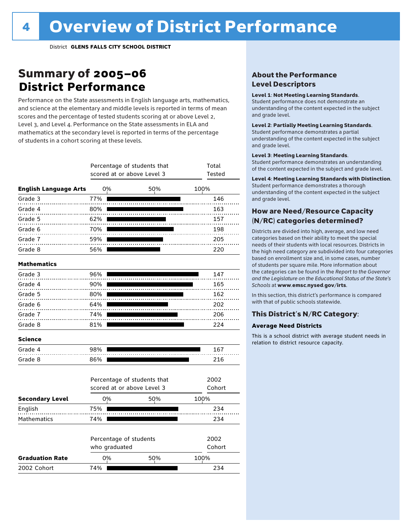### Summary of 2005–06 **District Performance**

Performance on the State assessments in English language arts, mathematics, and science at the elementary and middle levels is reported in terms of mean scores and the percentage of tested students scoring at or above Level 2, Level 3, and Level 4. Performance on the State assessments in ELA and mathematics at the secondary level is reported in terms of the percentage of students in a cohort scoring at these levels.

|                              |               | Percentage of students that<br>scored at or above Level 3 |                             | Total<br>Tested |
|------------------------------|---------------|-----------------------------------------------------------|-----------------------------|-----------------|
| <b>English Language Arts</b> | 0%            |                                                           | 50%                         | 100%            |
| Grade 3                      | 77%           |                                                           |                             | 146             |
| Grade 4                      | 80%           |                                                           |                             | 163             |
| Grade 5                      | 62%           |                                                           |                             | 157             |
| Grade 6                      | 70%           |                                                           |                             | 198             |
| Grade 7                      | 59%           |                                                           |                             | 205             |
| Grade 8                      | 56%           |                                                           |                             | 220             |
| <b>Mathematics</b>           |               |                                                           |                             |                 |
| Grade 3                      | 96%           |                                                           |                             | 147             |
| Grade 4                      | 90%           |                                                           |                             | 165             |
| Grade 5                      | 80%           |                                                           |                             | 162             |
| Grade 6                      | 64%           |                                                           |                             | 202             |
| Grade 7                      | 74%           |                                                           |                             | 206             |
| Grade 8                      | 81%           |                                                           |                             | 224             |
| <b>Science</b>               |               |                                                           |                             |                 |
| Grade 4                      | 98%           |                                                           |                             | 167             |
| Grade 8                      | 86%           |                                                           |                             | 216             |
|                              |               | scored at or above Level 3                                | Percentage of students that | 2002<br>Cohort  |
| <b>Secondary Level</b>       | 0%            |                                                           | 50%                         | 100%            |
| English                      | 75%           |                                                           |                             | 234             |
| Mathematics                  | 74%           |                                                           |                             | 234             |
|                              | who graduated | Percentage of students                                    | 2002<br>Cohort              |                 |
| <b>Graduation Rate</b>       | 0%            |                                                           | 50%                         | 100%            |
| 2002 Cohort                  | 74%           |                                                           |                             | 234             |

### About the Performance Level Descriptors

#### Level 1: Not Meeting Learning Standards.

Student performance does not demonstrate an understanding of the content expected in the subject and grade level.

#### Level 2: Partially Meeting Learning Standards.

Student performance demonstrates a partial understanding of the content expected in the subject and grade level.

#### Level 3: Meeting Learning Standards.

Student performance demonstrates an understanding of the content expected in the subject and grade level.

#### Level 4: Meeting Learning Standards with Distinction.

Student performance demonstrates a thorough understanding of the content expected in the subject and grade level.

### How are Need/Resource Capacity (N/RC) categories determined?

Districts are divided into high, average, and low need categories based on their ability to meet the special needs of their students with local resources. Districts in the high need category are subdivided into four categories based on enrollment size and, in some cases, number of students per square mile. More information about the categories can be found in the *Report to the Governor and the Legislature on the Educational Status of the State's Schools* at www.emsc.nysed.gov/irts.

In this section, this district's performance is compared with that of public schools statewide.

### This District's N/RC Category:

#### **Average Need Districts**

This is a school district with average student needs in relation to district resource capacity.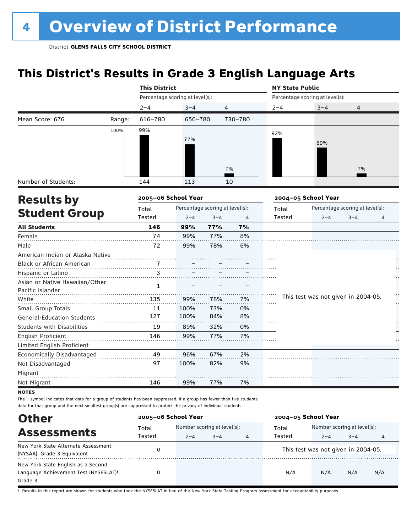## **This District's Results in Grade 3 English Language Arts**

|                                           |        | <b>This District</b>            |         |                                 |         | <b>NY State Public</b> |                                     |                                 |    |  |  |
|-------------------------------------------|--------|---------------------------------|---------|---------------------------------|---------|------------------------|-------------------------------------|---------------------------------|----|--|--|
|                                           |        | Percentage scoring at level(s): |         |                                 |         |                        | Percentage scoring at level(s):     |                                 |    |  |  |
|                                           |        | $2 - 4$                         | $3 - 4$ | $\overline{4}$                  |         | $2 - 4$                | $3 - 4$                             | 4                               |    |  |  |
| Mean Score: 676                           | Range: | 616-780                         | 650-780 |                                 | 730-780 |                        |                                     |                                 |    |  |  |
|                                           | 100%   | 99%                             |         |                                 |         | 92%                    |                                     |                                 |    |  |  |
|                                           |        |                                 | 77%     |                                 |         |                        | 69%                                 |                                 |    |  |  |
|                                           |        |                                 |         |                                 |         |                        |                                     |                                 |    |  |  |
|                                           |        |                                 |         |                                 |         |                        |                                     |                                 |    |  |  |
|                                           |        |                                 |         |                                 | 7%      |                        |                                     | 7%                              |    |  |  |
| Number of Students:                       |        | 144                             | 113     |                                 | 10      |                        |                                     |                                 |    |  |  |
| <b>Results by</b><br><b>Student Group</b> |        | 2005-06 School Year             |         |                                 |         |                        | 2004-05 School Year                 |                                 |    |  |  |
|                                           |        | Total                           |         | Percentage scoring at level(s): |         | Total                  |                                     | Percentage scoring at level(s): |    |  |  |
|                                           |        | Tested                          | $2 - 4$ | $3 - 4$                         | 4       | Tested                 | $2 - 4$                             | $3 - 4$                         | 4  |  |  |
| <b>All Students</b>                       |        | 146                             | 99%     | 77%                             | 7%      |                        |                                     |                                 |    |  |  |
| Female                                    |        | 74                              | 99%     | 77%                             | 8%      |                        |                                     |                                 |    |  |  |
| Male                                      |        | 72                              | 99%     | 78%                             | 6%      |                        |                                     |                                 |    |  |  |
| American Indian or Alaska Native          |        |                                 |         |                                 |         |                        |                                     |                                 |    |  |  |
| Black or African American                 |        |                                 |         |                                 |         |                        |                                     |                                 |    |  |  |
| Hispanic or Latino                        |        | 3                               |         |                                 |         |                        |                                     |                                 |    |  |  |
| Asian or Native Hawaiian/Other            |        | $\mathbf{1}$                    |         |                                 |         |                        |                                     |                                 |    |  |  |
| Pacific Islander                          |        |                                 |         |                                 |         |                        |                                     |                                 |    |  |  |
| White                                     |        | 135                             | 99%     | 78%                             | 7%      |                        | This test was not given in 2004-05. |                                 | Ļ. |  |  |
| Small Group Totals                        |        | 11                              | 100%    | 73%                             | 0%      |                        |                                     |                                 |    |  |  |
| <b>General-Education Students</b>         |        | 127                             | 100%    | 84%                             | 8%      |                        |                                     |                                 |    |  |  |
| <b>Students with Disabilities</b>         |        | 19                              | 89%     | 32%                             | 0%      |                        |                                     |                                 |    |  |  |
| English Proficient                        |        | 146                             | 99%     | 77%                             | 7%      |                        |                                     |                                 |    |  |  |
| Limited English Proficient                |        |                                 |         |                                 |         |                        |                                     |                                 |    |  |  |
| Economically Disadvantaged                |        | 49                              | 96%     | 67%                             | 2%      |                        |                                     |                                 |    |  |  |
| Not Disadvantaged                         |        | 97                              | 100%    | 82%                             | 9%      |                        |                                     |                                 |    |  |  |
| Migrant                                   |        |                                 |         |                                 |         |                        |                                     |                                 |    |  |  |
| Not Migrant                               |        | 146                             | 99%     | 77%                             | 7%      |                        |                                     |                                 |    |  |  |
| <b>NOTES</b>                              |        |                                 |         |                                 |         |                        |                                     |                                 |    |  |  |

The – symbol indicates that data for a group of students has been suppressed. If a group has fewer than five students, data for that group and the next smallest group(s) are suppressed to protect the privacy of individual students.

| <b>Other</b>                                                                                         | 2005-06 School Year |                                                   |  |                | 2004-05 School Year |                                        |         |     |
|------------------------------------------------------------------------------------------------------|---------------------|---------------------------------------------------|--|----------------|---------------------|----------------------------------------|---------|-----|
| <b>Assessments</b>                                                                                   | Total<br>Tested     | Number scoring at level(s):<br>$3 - 4$<br>$2 - 4$ |  |                | Total<br>Tested     | Number scoring at level(s):<br>$2 - 4$ | $3 - 4$ |     |
| New York State Alternate Assessment<br>(NYSAA): Grade 3 Equivalent                                   |                     |                                                   |  | $\overline{4}$ |                     | This test was not given in 2004-05.    |         | 4   |
| New York State English as a Second<br>Language Achievement Test (NYSESLAT) <sup>+</sup> :<br>Grade 3 |                     |                                                   |  |                | N/A                 | N/A                                    | N/A     | N/A |

† Results in this report are shown for students who took the NYSESLAT in lieu of the New York State Testing Program assessment for accountability purposes.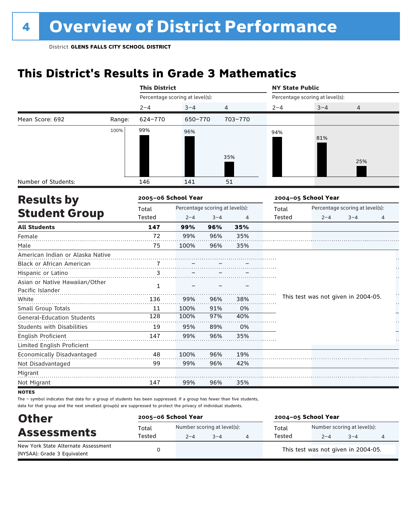## **This District's Results in Grade 3 Mathematics**

|                                           |        |                                 | <b>This District</b>            |         |         |         | <b>NY State Public</b>              |                                 |    |  |  |  |
|-------------------------------------------|--------|---------------------------------|---------------------------------|---------|---------|---------|-------------------------------------|---------------------------------|----|--|--|--|
|                                           |        | Percentage scoring at level(s): |                                 |         |         |         | Percentage scoring at level(s):     |                                 |    |  |  |  |
|                                           |        | $2 - 4$                         | $3 - 4$                         |         | 4       | $2 - 4$ | $3 - 4$                             | 4                               |    |  |  |  |
| Mean Score: 692                           | Range: | 624-770                         | 650-770                         |         | 703-770 |         |                                     |                                 |    |  |  |  |
|                                           | 100%   | 99%                             | 96%                             |         |         | 94%     |                                     |                                 |    |  |  |  |
|                                           |        |                                 |                                 |         |         |         | 81%                                 |                                 |    |  |  |  |
|                                           |        |                                 |                                 |         | 35%     |         |                                     |                                 |    |  |  |  |
|                                           |        |                                 |                                 |         |         |         |                                     | 25%                             |    |  |  |  |
| Number of Students:                       |        | 146                             | 141                             |         | 51      |         |                                     |                                 |    |  |  |  |
| <b>Results by</b><br><b>Student Group</b> |        | 2005-06 School Year             |                                 |         |         |         | 2004-05 School Year                 |                                 |    |  |  |  |
|                                           |        | Total                           | Percentage scoring at level(s): |         |         | Total   |                                     | Percentage scoring at level(s): |    |  |  |  |
|                                           |        | Tested                          | $2 - 4$                         | $3 - 4$ | 4       | Tested  | $2 - 4$                             | $3 - 4$                         | 4  |  |  |  |
| <b>All Students</b>                       |        | 147                             | 99%                             | 96%     | 35%     |         |                                     |                                 |    |  |  |  |
| Female                                    |        | 72                              | 99%                             | 96%     | 35%     |         |                                     |                                 |    |  |  |  |
| Male                                      |        | 75                              | 100%                            | 96%     | 35%     |         |                                     |                                 |    |  |  |  |
| American Indian or Alaska Native          |        |                                 |                                 |         |         |         |                                     |                                 |    |  |  |  |
| Black or African American                 |        |                                 |                                 |         |         |         |                                     |                                 |    |  |  |  |
| Hispanic or Latino                        |        | 3                               |                                 |         |         |         |                                     |                                 |    |  |  |  |
| Asian or Native Hawaiian/Other            |        | $\mathbf{1}$                    |                                 |         |         |         |                                     |                                 |    |  |  |  |
| Pacific Islander                          |        |                                 |                                 |         |         |         |                                     |                                 |    |  |  |  |
| White                                     |        | 136                             | 99%                             | 96%     | 38%     |         | This test was not given in 2004-05. |                                 | ķ. |  |  |  |
| Small Group Totals                        |        | 11                              | 100%                            | 91%     | 0%      |         |                                     |                                 |    |  |  |  |
| <b>General-Education Students</b>         |        | 128                             | 100%                            | 97%     | 40%     |         |                                     |                                 |    |  |  |  |
| <b>Students with Disabilities</b>         |        | 19                              | 95%                             | 89%     | 0%      |         |                                     |                                 |    |  |  |  |
| <b>English Proficient</b>                 |        | 147                             | 99%                             | 96%     | 35%     |         |                                     |                                 |    |  |  |  |
| Limited English Proficient                |        |                                 |                                 |         |         |         |                                     |                                 |    |  |  |  |
| Economically Disadvantaged                |        | 48                              | 100%                            | 96%     | 19%     |         |                                     |                                 |    |  |  |  |
| Not Disadvantaged                         |        | 99                              | 99%                             | 96%     | 42%     |         |                                     |                                 |    |  |  |  |
| Migrant                                   |        |                                 |                                 |         |         |         |                                     |                                 |    |  |  |  |
| Not Migrant                               |        | 147                             | 99%                             | 96%     | 35%     |         |                                     |                                 |    |  |  |  |
| <b>NOTES</b>                              |        |                                 |                                 |         |         |         |                                     |                                 |    |  |  |  |

| <b>Other</b>                                                       | 2005-06 School Year |                                        |         | 2004-05 School Year |                                        |         |   |  |
|--------------------------------------------------------------------|---------------------|----------------------------------------|---------|---------------------|----------------------------------------|---------|---|--|
| <b>Assessments</b>                                                 | Total<br>Tested     | Number scoring at level(s):<br>$2 - 4$ | $3 - 4$ | Total<br>Tested     | Number scoring at level(s):<br>$2 - 4$ | $3 - 4$ | 4 |  |
| New York State Alternate Assessment<br>(NYSAA): Grade 3 Equivalent |                     |                                        |         |                     | This test was not given in 2004-05.    |         |   |  |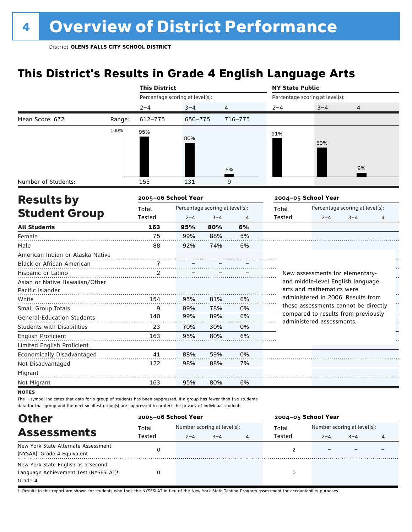## **This District's Results in Grade 4 English Language Arts**

|                                                    |        | <b>This District</b>            |                                 |         |                | <b>NY State Public</b> |                                                                  |                                 |   |  |
|----------------------------------------------------|--------|---------------------------------|---------------------------------|---------|----------------|------------------------|------------------------------------------------------------------|---------------------------------|---|--|
|                                                    |        | Percentage scoring at level(s): |                                 |         |                |                        | Percentage scoring at level(s):                                  |                                 |   |  |
|                                                    |        | $2 - 4$                         | $3 - 4$                         | 4       |                | $2 - 4$                | $3 - 4$                                                          | 4                               |   |  |
| Mean Score: 672                                    | Range: | $612 - 775$                     | 650-775                         |         | 716-775        |                        |                                                                  |                                 |   |  |
|                                                    | 100%   | 95%                             | 80%                             |         | 6%             | 91%                    | 69%                                                              | 9%                              |   |  |
|                                                    |        |                                 |                                 |         |                |                        |                                                                  |                                 |   |  |
| Number of Students:                                |        | 155                             | 131                             |         | 9              |                        |                                                                  |                                 |   |  |
| <b>Results by</b><br><b>Student Group</b>          |        | 2005-06 School Year             |                                 |         |                |                        | 2004-05 School Year                                              |                                 |   |  |
|                                                    |        | Total                           | Percentage scoring at level(s): |         |                | Total                  |                                                                  | Percentage scoring at level(s): |   |  |
|                                                    |        | <b>Tested</b>                   | $2 - 4$                         | $3 - 4$ | $\overline{4}$ | Tested                 | $2 - 4$                                                          | $3 - 4$                         | 4 |  |
| <b>All Students</b>                                |        | 163                             | 95%                             | 80%     | 6%             |                        |                                                                  |                                 |   |  |
| Female                                             |        | 75                              | 99%                             | 88%     | 5%             |                        |                                                                  |                                 |   |  |
| Male                                               |        | 88                              | 92%                             | 74%     | 6%             |                        |                                                                  |                                 |   |  |
| American Indian or Alaska Native                   |        |                                 |                                 |         |                |                        |                                                                  |                                 |   |  |
| Black or African American                          |        |                                 |                                 |         |                |                        |                                                                  |                                 |   |  |
| Hispanic or Latino                                 |        | $\mathfrak{p}$                  |                                 |         |                |                        | New assessments for elementary-                                  |                                 |   |  |
| Asian or Native Hawaiian/Other<br>Pacific Islander |        |                                 |                                 |         |                |                        | and middle-level English language<br>arts and mathematics were   |                                 |   |  |
| White                                              |        | 154                             | 95%                             | 81%     | 6%             |                        | administered in 2006. Results from                               |                                 |   |  |
| Small Group Totals                                 |        | 9                               | 89%                             | 78%     | 0%             |                        | these assessments cannot be directly                             |                                 |   |  |
| <b>General-Education Students</b>                  |        | 140                             | 99%                             | 89%     | 6%             |                        | compared to results from previously<br>administered assessments. |                                 |   |  |
| <b>Students with Disabilities</b>                  |        | 23                              | 70%                             | 30%     | 0%             |                        |                                                                  |                                 |   |  |
| English Proficient                                 |        | 163                             | 95%                             | 80%     | 6%             |                        |                                                                  |                                 |   |  |
| Limited English Proficient                         |        |                                 |                                 |         |                |                        |                                                                  |                                 |   |  |
| Economically Disadvantaged                         |        | 41                              | 88%                             | 59%     | 0%             |                        |                                                                  |                                 |   |  |
| Not Disadvantaged                                  |        | 122                             | 98%                             | 88%     | 7%             |                        |                                                                  |                                 |   |  |
| Migrant                                            |        |                                 |                                 |         |                |                        |                                                                  |                                 |   |  |
| Not Migrant                                        |        | 163                             | 95%                             | 80%     | 6%             |                        |                                                                  |                                 |   |  |
| UATEC                                              |        |                                 |                                 |         |                |                        |                                                                  |                                 |   |  |

**NOTES** 

The – symbol indicates that data for a group of students has been suppressed. If a group has fewer than five students, data for that group and the next smallest group(s) are suppressed to protect the privacy of individual students.

| <b>Other</b>                                        | 2005-06 School Year |         |                             |   | 2004-05 School Year |                             |         |   |
|-----------------------------------------------------|---------------------|---------|-----------------------------|---|---------------------|-----------------------------|---------|---|
| <b>Assessments</b>                                  | Total               |         | Number scoring at level(s): |   |                     | Number scoring at level(s): |         |   |
|                                                     | Tested              | $2 - 4$ | $3 - 4$                     | 4 | Tested              | $2 - 4$                     | $3 - 4$ | 4 |
| New York State Alternate Assessment                 |                     |         |                             |   |                     |                             |         |   |
| (NYSAA): Grade 4 Equivalent                         |                     |         |                             |   |                     |                             |         |   |
| New York State English as a Second                  |                     |         |                             |   |                     |                             |         |   |
| Language Achievement Test (NYSESLAT) <sup>t</sup> : |                     |         |                             |   |                     |                             |         |   |
| Grade 4                                             |                     |         |                             |   |                     |                             |         |   |

† Results in this report are shown for students who took the NYSESLAT in lieu of the New York State Testing Program assessment for accountability purposes.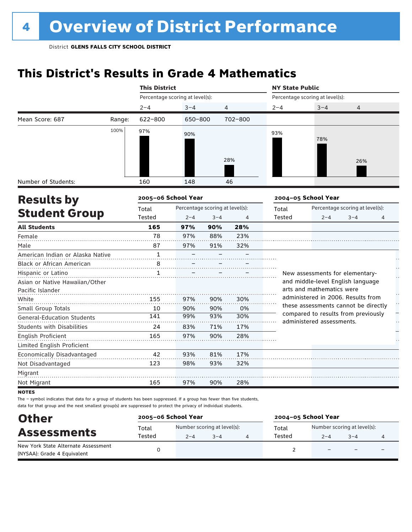## **This District's Results in Grade 4 Mathematics**

|                                                                                                                                             |        | <b>This District</b>            |                                 |         |                | <b>NY State Public</b> |                                                                            |                                 |   |
|---------------------------------------------------------------------------------------------------------------------------------------------|--------|---------------------------------|---------------------------------|---------|----------------|------------------------|----------------------------------------------------------------------------|---------------------------------|---|
|                                                                                                                                             |        | Percentage scoring at level(s): |                                 |         |                |                        | Percentage scoring at level(s):                                            |                                 |   |
|                                                                                                                                             |        | $2 - 4$                         | $3 - 4$                         |         | 4              | $2 - 4$                | $3 - 4$                                                                    | 4                               |   |
| Mean Score: 687                                                                                                                             | Range: | $622 - 800$                     | 650-800                         |         | 702-800        |                        |                                                                            |                                 |   |
|                                                                                                                                             | 100%   | 97%                             | 90%                             |         |                | 93%                    |                                                                            |                                 |   |
|                                                                                                                                             |        |                                 |                                 |         |                |                        | 78%                                                                        |                                 |   |
|                                                                                                                                             |        |                                 |                                 |         |                |                        |                                                                            |                                 |   |
|                                                                                                                                             |        |                                 |                                 |         | 28%            |                        |                                                                            | 26%                             |   |
|                                                                                                                                             |        |                                 |                                 |         |                |                        |                                                                            |                                 |   |
| Number of Students:                                                                                                                         |        | 160                             | 148                             |         | 46             |                        |                                                                            |                                 |   |
| <b>Results by</b><br><b>Student Group</b><br>Female<br>Pacific Islander<br>White<br>Small Group Totals<br><b>General-Education Students</b> |        | 2005-06 School Year             |                                 |         |                |                        | 2004-05 School Year                                                        |                                 |   |
|                                                                                                                                             |        | Total                           | Percentage scoring at level(s): |         |                | Total                  |                                                                            | Percentage scoring at level(s): |   |
|                                                                                                                                             |        | <b>Tested</b>                   | $2 - 4$                         | $3 - 4$ | $\overline{4}$ | Tested                 | $2 - 4$                                                                    | $3 - 4$                         | 4 |
| <b>All Students</b>                                                                                                                         |        | 165                             | 97%                             | 90%     | 28%            |                        |                                                                            |                                 |   |
|                                                                                                                                             |        | 78                              | 97%                             | 88%     | 23%            |                        |                                                                            |                                 |   |
| Male                                                                                                                                        |        | 87                              | 97%                             | 91%     | 32%            |                        |                                                                            |                                 |   |
| American Indian or Alaska Native                                                                                                            |        | $\mathbf{1}$                    |                                 |         |                |                        |                                                                            |                                 |   |
| Black or African American                                                                                                                   |        | 8                               |                                 |         |                |                        |                                                                            |                                 |   |
| Hispanic or Latino                                                                                                                          |        | $\mathbf{1}$                    |                                 |         |                |                        | New assessments for elementary-                                            |                                 |   |
| Asian or Native Hawaiian/Other                                                                                                              |        |                                 |                                 |         |                |                        | and middle-level English language                                          |                                 |   |
|                                                                                                                                             |        |                                 |                                 |         |                |                        | arts and mathematics were                                                  |                                 |   |
|                                                                                                                                             |        | 155                             | 97%                             | 90%     | 30%            |                        | administered in 2006. Results from<br>these assessments cannot be directly |                                 |   |
|                                                                                                                                             |        | 10                              | 90%                             | 90%     | 0%             |                        | compared to results from previously                                        |                                 |   |
|                                                                                                                                             |        | 141                             | 99%                             | 93%     | 30%            |                        | administered assessments.                                                  |                                 |   |
| <b>Students with Disabilities</b>                                                                                                           |        | 24                              | 83%                             | 71%     | 17%            |                        |                                                                            |                                 |   |
| English Proficient                                                                                                                          |        | 165                             | 97%                             | 90%     | 28%            |                        |                                                                            |                                 |   |
| Limited English Proficient                                                                                                                  |        |                                 |                                 |         |                |                        |                                                                            |                                 |   |
| Economically Disadvantaged                                                                                                                  |        | 42                              | 93%                             | 81%     | 17%            |                        |                                                                            |                                 |   |
| Not Disadvantaged                                                                                                                           |        | 123                             | 98%                             | 93%     | 32%            |                        |                                                                            |                                 |   |
| Migrant                                                                                                                                     |        |                                 |                                 |         |                |                        |                                                                            |                                 |   |
| Not Migrant                                                                                                                                 |        | 165                             | 97%                             | 90%     | 28%            |                        |                                                                            |                                 |   |

**NOTES** 

| <b>Other</b><br><b>Assessments</b>                                 | 2005-06 School Year |                                        |         | 2004-05 School Year |                                        |                          |                          |  |
|--------------------------------------------------------------------|---------------------|----------------------------------------|---------|---------------------|----------------------------------------|--------------------------|--------------------------|--|
|                                                                    | Total<br>Tested     | Number scoring at level(s):<br>$2 - 4$ | $3 - 4$ | Total<br>Tested     | Number scoring at level(s):<br>$2 - 4$ | $3 - 4$                  |                          |  |
| New York State Alternate Assessment<br>(NYSAA): Grade 4 Equivalent |                     |                                        |         |                     | $\overline{\phantom{0}}$               | $\overline{\phantom{0}}$ | $\overline{\phantom{0}}$ |  |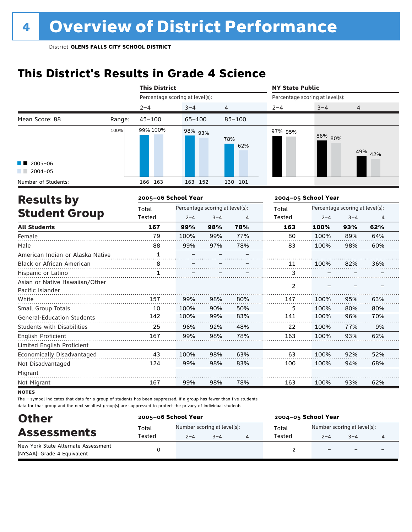## **This District's Results in Grade 4 Science**

|                                                    |        | <b>This District</b>            |                                 |         |            | <b>NY State Public</b>          |                     |                                 |         |  |
|----------------------------------------------------|--------|---------------------------------|---------------------------------|---------|------------|---------------------------------|---------------------|---------------------------------|---------|--|
|                                                    |        | Percentage scoring at level(s): |                                 |         |            | Percentage scoring at level(s): |                     |                                 |         |  |
|                                                    |        | $2 - 4$                         | $3 - 4$                         | 4       |            | $2 - 4$                         | $3 - 4$             | $\overline{4}$                  |         |  |
| Mean Score: 88                                     | Range: | $45 - 100$                      | $65 - 100$                      |         | $85 - 100$ |                                 |                     |                                 |         |  |
|                                                    | 100%   | 99% 100%                        | 98% 93%                         |         | 78%<br>62% | 97% 95%                         | 86% 80%             |                                 | 49% 42% |  |
| $2005 - 06$<br>$2004 - 05$                         |        |                                 |                                 |         |            |                                 |                     |                                 |         |  |
| Number of Students:                                |        | 166 163                         | 163 152                         |         | 130 101    |                                 |                     |                                 |         |  |
| <b>Results by</b>                                  |        | 2005-06 School Year             |                                 |         |            |                                 | 2004-05 School Year |                                 |         |  |
|                                                    |        | Total                           | Percentage scoring at level(s): |         |            | Total                           |                     | Percentage scoring at level(s): |         |  |
| <b>Student Group</b>                               |        | Tested                          | $2 - 4$                         | $3 - 4$ | 4          | Tested                          | $2 - 4$             | $3 - 4$                         | 4       |  |
| <b>All Students</b>                                |        | 167                             | 99%                             | 98%     | 78%        | 163                             | 100%                | 93%                             | 62%     |  |
| Female                                             |        | 79                              | 100%                            | 99%     | 77%        | 80                              | 100%                | 89%                             | 64%     |  |
| Male                                               |        | 88                              | 99%                             | 97%     | 78%        | 83                              | 100%                | 98%                             | 60%     |  |
| American Indian or Alaska Native                   |        | $\mathbf{1}$                    |                                 |         |            |                                 |                     |                                 |         |  |
| Black or African American                          |        | $\overset{8}{\ldots}$           |                                 |         |            | 11                              | 100%                | 82%                             | 36%     |  |
| Hispanic or Latino                                 |        | $\mathbf{1}$                    |                                 |         |            | 3                               |                     |                                 |         |  |
| Asian or Native Hawaiian/Other<br>Pacific Islander |        |                                 |                                 |         |            | 2                               |                     |                                 |         |  |
| White                                              |        | 157                             | 99%                             | 98%     | 80%        | 147                             | 100%                | 95%                             | 63%     |  |
| Small Group Totals                                 |        | 10                              | 100%                            | 90%     | 50%        | 5                               | 100%                | 80%                             | 80%     |  |
| <b>General-Education Students</b>                  |        | 142                             | 100%                            | 99%     | 83%        | 141                             | 100%                | 96%                             | 70%     |  |
| Students with Disabilities                         |        | 25                              | 96%                             | 92%     | 48%        | 22                              | 100%                | 77%                             | 9%      |  |
| <b>English Proficient</b>                          |        | 167                             | 99%                             | 98%     | 78%        | 163                             | 100%                | 93%                             | 62%     |  |
| Limited English Proficient                         |        |                                 |                                 |         |            |                                 |                     |                                 |         |  |
| Economically Disadvantaged                         |        | 43                              | 100%                            | 98%     | 63%        | 63                              | 100%                | 92%                             | 52%     |  |
| Not Disadvantaged                                  |        | 124                             | 99%                             | 98%     | 83%        | 100                             | 100%                | 94%                             | 68%     |  |
| Migrant                                            |        |                                 |                                 |         |            |                                 |                     |                                 |         |  |
| Not Migrant                                        |        | 167                             | 99%                             | 98%     | 78%        | 163                             | 100%                | 93%                             | 62%     |  |

**NOTES** 

| <b>Other</b><br><b>Assessments</b>                                 | 2005-06 School Year |         |                                        | 2004-05 School Year |         |                                        |  |  |
|--------------------------------------------------------------------|---------------------|---------|----------------------------------------|---------------------|---------|----------------------------------------|--|--|
|                                                                    | Total<br>Tested     | $2 - 4$ | Number scoring at level(s):<br>$3 - 4$ | Total<br>Tested     | $2 - 4$ | Number scoring at level(s):<br>$3 - 4$ |  |  |
| New York State Alternate Assessment<br>(NYSAA): Grade 4 Equivalent |                     |         |                                        |                     |         | $\overline{\phantom{0}}$               |  |  |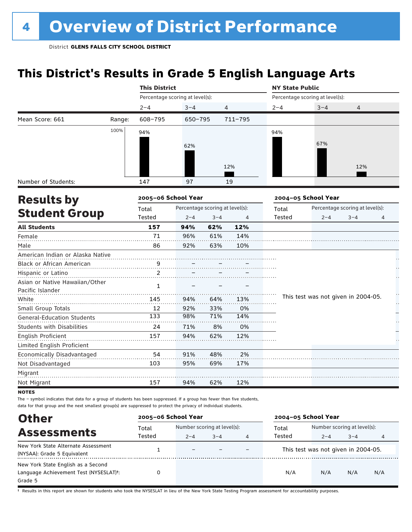## **This District's Results in Grade 5 English Language Arts**

|                                                  |        | <b>This District</b>            |                                 |         |             | <b>NY State Public</b> |                                     |                                 |    |  |
|--------------------------------------------------|--------|---------------------------------|---------------------------------|---------|-------------|------------------------|-------------------------------------|---------------------------------|----|--|
|                                                  |        | Percentage scoring at level(s): |                                 |         |             |                        | Percentage scoring at level(s):     |                                 |    |  |
|                                                  |        | $2 - 4$                         | $3 - 4$                         |         | 4           | $2 - 4$                | $3 - 4$                             | 4                               |    |  |
| Mean Score: 661                                  | Range: | 608-795                         | 650-795                         |         | $711 - 795$ |                        |                                     |                                 |    |  |
|                                                  | 100%   | 94%                             |                                 |         |             | 94%                    |                                     |                                 |    |  |
|                                                  |        |                                 |                                 |         |             |                        | 67%                                 |                                 |    |  |
|                                                  |        |                                 | 62%                             |         |             |                        |                                     |                                 |    |  |
|                                                  |        |                                 |                                 |         |             |                        |                                     |                                 |    |  |
|                                                  |        |                                 |                                 |         | 12%         |                        |                                     | 12%                             |    |  |
| Number of Students:                              |        | 147                             | 97                              |         | 19          |                        |                                     |                                 |    |  |
|                                                  |        | 2005-06 School Year             |                                 |         |             |                        | 2004-05 School Year                 |                                 |    |  |
| <b>Student Group</b>                             |        | Total                           | Percentage scoring at level(s): |         |             | Total                  |                                     | Percentage scoring at level(s): |    |  |
|                                                  |        | Tested                          | $2 - 4$                         | $3 - 4$ | 4           | Tested                 | $2 - 4$                             | $3 - 4$                         | 4  |  |
| <b>All Students</b>                              |        | 157                             | 94%                             | 62%     | 12%         |                        |                                     |                                 |    |  |
| Female                                           |        | 71                              | 96%                             | 61%     | 14%         |                        |                                     |                                 |    |  |
| Male                                             |        | 86                              | 92%                             | 63%     | 10%         |                        |                                     |                                 |    |  |
| American Indian or Alaska Native                 |        |                                 |                                 |         |             |                        |                                     |                                 |    |  |
| Black or African American                        |        | 9                               |                                 |         |             |                        |                                     |                                 |    |  |
| Hispanic or Latino                               |        | 2                               |                                 |         |             |                        |                                     |                                 |    |  |
| Asian or Native Hawaiian/Other                   |        | $\mathbf{1}$                    |                                 |         |             |                        |                                     |                                 |    |  |
| Pacific Islander                                 |        |                                 |                                 |         |             |                        |                                     |                                 | Ì, |  |
| White                                            |        | 145                             | 94%                             | 64%     | 13%         |                        | This test was not given in 2004-05. |                                 | ŀ, |  |
| Small Group Totals                               |        | 12                              | 92%                             | 33%     | 0%          |                        |                                     |                                 |    |  |
| <b>General-Education Students</b>                |        | 133                             | 98%                             | 71%     | 14%         |                        |                                     |                                 |    |  |
| <b>Students with Disabilities</b>                |        | 24                              | 71%                             | 8%      | 0%          |                        |                                     |                                 |    |  |
| <b>English Proficient</b>                        |        | 157                             | 94%                             | 62%     | 12%         |                        |                                     |                                 |    |  |
| Limited English Proficient                       |        |                                 |                                 |         |             |                        |                                     |                                 |    |  |
| Economically Disadvantaged                       |        | 54                              | 91%                             | 48%     | 2%          |                        |                                     |                                 |    |  |
| Not Disadvantaged                                |        | 103                             | 95%                             | 69%     | 17%         |                        |                                     |                                 |    |  |
| Migrant                                          |        |                                 |                                 |         |             |                        |                                     |                                 |    |  |
|                                                  |        | 157                             | 94%                             | 62%     | 12%         |                        |                                     |                                 |    |  |
| <b>Results by</b><br>Not Migrant<br><b>NOTES</b> |        |                                 |                                 |         |             |                        |                                     |                                 |    |  |

The – symbol indicates that data for a group of students has been suppressed. If a group has fewer than five students, data for that group and the next smallest group(s) are suppressed to protect the privacy of individual students.

| <b>Other</b>                                                                                         | 2005-06 School Year |                          |                                        |   | 2004-05 School Year                 |                                        |         |     |
|------------------------------------------------------------------------------------------------------|---------------------|--------------------------|----------------------------------------|---|-------------------------------------|----------------------------------------|---------|-----|
| <b>Assessments</b>                                                                                   | Total<br>Tested     | $2 - 4$                  | Number scoring at level(s):<br>$3 - 4$ | 4 | Total<br>Tested                     | Number scoring at level(s):<br>$2 - 4$ | $3 - 4$ | 4   |
| New York State Alternate Assessment<br>(NYSAA): Grade 5 Equivalent                                   |                     | $\overline{\phantom{0}}$ |                                        |   | This test was not given in 2004-05. |                                        |         |     |
| New York State English as a Second<br>Language Achievement Test (NYSESLAT) <sup>+</sup> :<br>Grade 5 |                     |                          |                                        |   | N/A                                 | N/A                                    | N/A     | N/A |

† Results in this report are shown for students who took the NYSESLAT in lieu of the New York State Testing Program assessment for accountability purposes.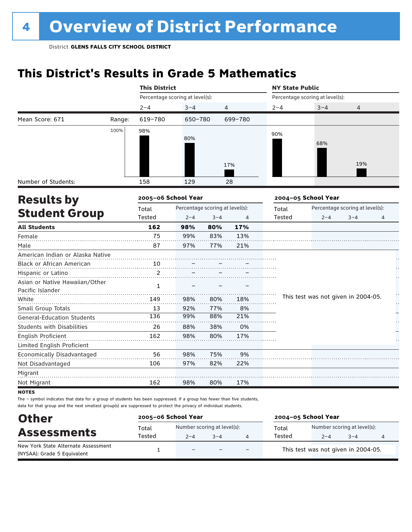## **This District's Results in Grade 5 Mathematics**

|                                   |        | <b>This District</b>            |                                 |                |         | <b>NY State Public</b> |                                     |                                 |    |
|-----------------------------------|--------|---------------------------------|---------------------------------|----------------|---------|------------------------|-------------------------------------|---------------------------------|----|
|                                   |        | Percentage scoring at level(s): |                                 |                |         |                        | Percentage scoring at level(s):     |                                 |    |
|                                   |        | $2 - 4$                         | $3 - 4$                         | $\overline{4}$ |         | $2 - 4$                | $3 - 4$                             | 4                               |    |
| Mean Score: 671                   | Range: | 619-780                         | 650-780                         |                | 699-780 |                        |                                     |                                 |    |
|                                   | 100%   | 98%                             |                                 |                |         | 90%                    |                                     |                                 |    |
|                                   |        |                                 | 80%                             |                |         |                        | 68%                                 |                                 |    |
|                                   |        |                                 |                                 |                |         |                        |                                     |                                 |    |
|                                   |        |                                 |                                 |                |         |                        |                                     |                                 |    |
|                                   |        |                                 |                                 |                | 17%     |                        |                                     | 19%                             |    |
| Number of Students:               |        | 158                             | 129                             |                | 28      |                        |                                     |                                 |    |
| <b>Results by</b>                 |        | 2005-06 School Year             |                                 |                |         |                        | 2004-05 School Year                 |                                 |    |
|                                   |        | Total                           | Percentage scoring at level(s): |                |         | Total                  |                                     | Percentage scoring at level(s): |    |
| <b>Student Group</b>              |        | Tested                          | $2 - 4$                         | $3 - 4$        | 4       | Tested                 | $2 - 4$                             | $3 - 4$                         | 4  |
| <b>All Students</b>               |        | 162                             | 98%                             | 80%            | 17%     |                        |                                     |                                 |    |
| Female                            |        | 75                              | 99%                             | 83%            | 13%     |                        |                                     |                                 |    |
| Male                              |        | 87                              | 97%                             | 77%            | 21%     |                        |                                     |                                 |    |
| American Indian or Alaska Native  |        |                                 |                                 |                |         |                        |                                     |                                 |    |
| Black or African American         |        | 10                              |                                 |                |         |                        |                                     |                                 |    |
| Hispanic or Latino                |        | $\overline{c}$                  |                                 |                |         |                        |                                     |                                 |    |
| Asian or Native Hawaiian/Other    |        | 1                               |                                 |                |         |                        |                                     |                                 |    |
| Pacific Islander                  |        |                                 |                                 |                |         |                        |                                     |                                 | Ì, |
| White                             |        | 149                             | 98%                             | 80%            | 18%     |                        | This test was not given in 2004-05. |                                 | ŗ. |
| Small Group Totals                |        | 13                              | 92%                             | 77%            | 8%      |                        |                                     |                                 |    |
| <b>General-Education Students</b> |        | 136                             | 99%                             | 88%            | 21%     |                        |                                     |                                 |    |
| <b>Students with Disabilities</b> |        | 26                              | 88%                             | 38%            | 0%      |                        |                                     |                                 |    |
| English Proficient                |        | 162                             | 98%                             | 80%            | 17%     |                        |                                     |                                 |    |
| Limited English Proficient        |        |                                 |                                 |                |         |                        |                                     |                                 |    |
| Economically Disadvantaged        |        | 56                              | 98%                             | 75%            | 9%      |                        |                                     |                                 |    |
| Not Disadvantaged                 |        | 106                             | 97%                             | 82%            | 22%     |                        |                                     |                                 |    |
| Migrant                           |        |                                 |                                 |                |         |                        |                                     |                                 |    |
| Not Migrant                       |        | 162                             | 98%                             | 80%            | 17%     |                        |                                     |                                 |    |
| <b>NOTES</b>                      |        |                                 |                                 |                |         |                        |                                     |                                 |    |

| <b>Other</b><br><b>Assessments</b>                                 | 2005-06 School Year |                                        |         |                          | 2004-05 School Year |                                        |         |  |  |
|--------------------------------------------------------------------|---------------------|----------------------------------------|---------|--------------------------|---------------------|----------------------------------------|---------|--|--|
|                                                                    | Total<br>Tested     | Number scoring at level(s):<br>$2 - 4$ | $3 - 4$ |                          | Total<br>Tested     | Number scoring at level(s):<br>$2 - 4$ | $3 - 4$ |  |  |
| New York State Alternate Assessment<br>(NYSAA): Grade 5 Equivalent |                     | $\overline{\phantom{0}}$               |         | $\overline{\phantom{0}}$ |                     | This test was not given in 2004-05.    |         |  |  |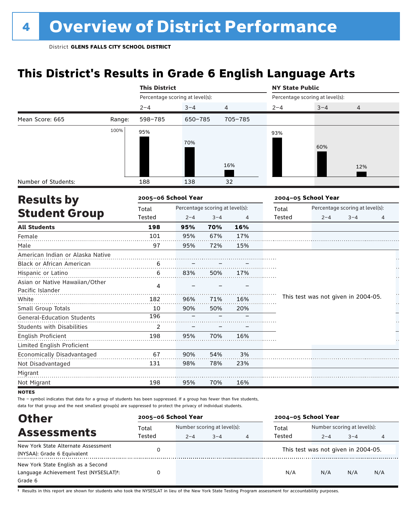## **This District's Results in Grade 6 English Language Arts**

|                                   |        | <b>This District</b>            |                                 |         |         | <b>NY State Public</b> |                                     |                                 |    |  |  |
|-----------------------------------|--------|---------------------------------|---------------------------------|---------|---------|------------------------|-------------------------------------|---------------------------------|----|--|--|
|                                   |        | Percentage scoring at level(s): |                                 |         |         |                        | Percentage scoring at level(s):     |                                 |    |  |  |
|                                   |        | $2 - 4$                         | $3 - 4$                         | 4       |         | $2 - 4$                | $3 - 4$                             | 4                               |    |  |  |
| Mean Score: 665                   | Range: | 598-785                         | 650-785                         |         | 705-785 |                        |                                     |                                 |    |  |  |
|                                   | 100%   | 95%                             |                                 |         |         | 93%                    |                                     |                                 |    |  |  |
|                                   |        |                                 | 70%                             |         |         |                        |                                     |                                 |    |  |  |
|                                   |        |                                 |                                 |         |         |                        | 60%                                 |                                 |    |  |  |
|                                   |        |                                 |                                 |         |         |                        |                                     |                                 |    |  |  |
|                                   |        |                                 |                                 |         | 16%     |                        |                                     | 12%                             |    |  |  |
| Number of Students:               |        | 188                             | 138                             |         | 32      |                        |                                     |                                 |    |  |  |
| <b>Results by</b>                 |        | 2005-06 School Year             |                                 |         |         |                        | 2004-05 School Year                 |                                 |    |  |  |
|                                   |        | Total                           | Percentage scoring at level(s): |         |         | Total                  |                                     | Percentage scoring at level(s): |    |  |  |
| <b>Student Group</b>              |        | Tested                          | $2 - 4$                         | $3 - 4$ | 4       | Tested                 | $2 - 4$                             | $3 - 4$                         | 4  |  |  |
| <b>All Students</b>               |        | 198                             | 95%                             | 70%     | 16%     |                        |                                     |                                 |    |  |  |
| Female                            |        | 101                             | 95%                             | 67%     | 17%     |                        |                                     |                                 |    |  |  |
| Male                              |        | 97                              | 95%                             | 72%     | 15%     |                        |                                     |                                 |    |  |  |
| American Indian or Alaska Native  |        |                                 |                                 |         |         |                        |                                     |                                 |    |  |  |
| Black or African American         |        | 6                               |                                 |         |         |                        |                                     |                                 |    |  |  |
| Hispanic or Latino                |        | 6                               | 83%                             | 50%     | 17%     |                        |                                     |                                 |    |  |  |
| Asian or Native Hawaiian/Other    |        | 4                               |                                 |         |         |                        |                                     |                                 |    |  |  |
| Pacific Islander                  |        |                                 |                                 |         |         |                        |                                     |                                 | Ì, |  |  |
| White                             |        | 182                             | 96%                             | 71%     | 16%     |                        | This test was not given in 2004-05. |                                 | ŗ. |  |  |
| Small Group Totals                |        | 10                              | 90%                             | 50%     | 20%     |                        |                                     |                                 |    |  |  |
| <b>General-Education Students</b> |        | 196                             |                                 |         |         |                        |                                     |                                 |    |  |  |
| <b>Students with Disabilities</b> |        | 2                               |                                 |         |         |                        |                                     |                                 |    |  |  |
| <b>English Proficient</b>         |        | 198                             | 95%                             | 70%     | 16%     |                        |                                     |                                 |    |  |  |
| Limited English Proficient        |        |                                 |                                 |         |         |                        |                                     |                                 |    |  |  |
| Economically Disadvantaged        |        | 67                              | 90%                             | 54%     | 3%      |                        |                                     |                                 |    |  |  |
| Not Disadvantaged                 |        | 131                             | 98%                             | 78%     | 23%     |                        |                                     |                                 |    |  |  |
| Migrant                           |        |                                 |                                 |         |         |                        |                                     |                                 |    |  |  |
| Not Migrant                       |        | 198                             | 95%                             | 70%     | 16%     |                        |                                     |                                 |    |  |  |
| <b>NOTES</b>                      |        |                                 |                                 |         |         |                        |                                     |                                 |    |  |  |

The – symbol indicates that data for a group of students has been suppressed. If a group has fewer than five students, data for that group and the next smallest group(s) are suppressed to protect the privacy of individual students.

| <b>Other</b>                                        | 2005-06 School Year |                             |         |   | 2004-05 School Year |                                     |         |     |
|-----------------------------------------------------|---------------------|-----------------------------|---------|---|---------------------|-------------------------------------|---------|-----|
| <b>Assessments</b>                                  | Total               | Number scoring at level(s): |         |   | Total               | Number scoring at level(s):         |         |     |
|                                                     | Tested              | $2 - 4$                     | $3 - 4$ | 4 | Tested              | $2 - 4$                             | $3 - 4$ | 4   |
| New York State Alternate Assessment                 |                     |                             |         |   |                     | This test was not given in 2004-05. |         |     |
| (NYSAA): Grade 6 Equivalent                         |                     |                             |         |   |                     |                                     |         |     |
| New York State English as a Second                  |                     |                             |         |   |                     |                                     |         |     |
| Language Achievement Test (NYSESLAT) <sup>t</sup> : |                     |                             |         |   | N/A                 | N/A                                 | N/A     | N/A |
| Grade 6                                             |                     |                             |         |   |                     |                                     |         |     |

† Results in this report are shown for students who took the NYSESLAT in lieu of the New York State Testing Program assessment for accountability purposes.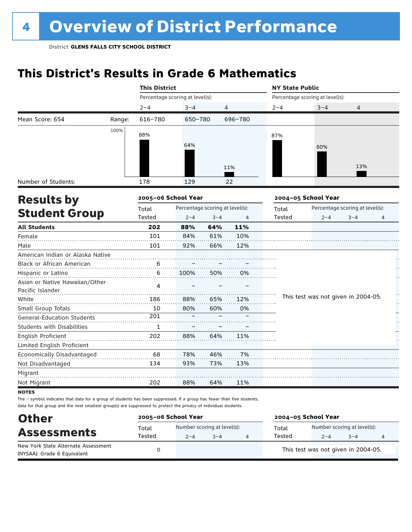## **This District's Results in Grade 6 Mathematics**

|                                   |        | <b>This District</b>            |                                 |         |         | <b>NY State Public</b> |                                     |                                 |    |
|-----------------------------------|--------|---------------------------------|---------------------------------|---------|---------|------------------------|-------------------------------------|---------------------------------|----|
|                                   |        | Percentage scoring at level(s): |                                 |         |         |                        | Percentage scoring at level(s):     |                                 |    |
|                                   |        | $2 - 4$                         | $3 - 4$                         | 4       |         | $2 - 4$                | $3 - 4$                             | 4                               |    |
| Mean Score: 654                   | Range: | 616-780                         | 650-780                         |         | 696-780 |                        |                                     |                                 |    |
|                                   | 100%   | 88%                             |                                 |         |         | 87%                    |                                     |                                 |    |
|                                   |        |                                 |                                 |         |         |                        |                                     |                                 |    |
|                                   |        |                                 | 64%                             |         |         |                        | 60%                                 |                                 |    |
|                                   |        |                                 |                                 |         |         |                        |                                     |                                 |    |
|                                   |        |                                 |                                 |         | 11%     |                        |                                     | 13%                             |    |
| Number of Students:               |        | 178                             | 129                             |         | 22      |                        |                                     |                                 |    |
| <b>Results by</b>                 |        | 2005-06 School Year             |                                 |         |         |                        | 2004-05 School Year                 |                                 |    |
|                                   |        | Total                           | Percentage scoring at level(s): |         |         | Total                  |                                     | Percentage scoring at level(s): |    |
| <b>Student Group</b>              |        | Tested                          | $2 - 4$                         | $3 - 4$ | 4       | Tested                 | $2 - 4$                             | $3 - 4$                         | 4  |
| <b>All Students</b>               |        | 202                             | 88%                             | 64%     | 11%     |                        |                                     |                                 |    |
| Female                            |        | 101                             | 84%                             | 61%     | 10%     |                        |                                     |                                 |    |
| Male                              |        | 101                             | 92%                             | 66%     | 12%     |                        |                                     |                                 |    |
| American Indian or Alaska Native  |        |                                 |                                 |         |         |                        |                                     |                                 |    |
| Black or African American         |        | 6                               |                                 |         |         |                        |                                     |                                 |    |
| Hispanic or Latino                |        | 6                               | 100%                            | 50%     | 0%      |                        |                                     |                                 |    |
| Asian or Native Hawaiian/Other    |        | 4                               |                                 |         |         |                        |                                     |                                 |    |
| Pacific Islander                  |        |                                 |                                 |         |         |                        |                                     |                                 | Ì, |
| White                             |        | 186                             | 88%                             | 65%     | 12%     |                        | This test was not given in 2004-05. |                                 | ŗ. |
| Small Group Totals                |        | 10                              | 80%                             | 60%     | 0%      |                        |                                     |                                 |    |
| <b>General-Education Students</b> |        | 201                             |                                 |         |         |                        |                                     |                                 |    |
| <b>Students with Disabilities</b> |        | 1                               |                                 |         |         |                        |                                     |                                 |    |
| English Proficient                |        | 202                             | 88%                             | 64%     | 11%     |                        |                                     |                                 |    |
| Limited English Proficient        |        |                                 |                                 |         |         |                        |                                     |                                 |    |
| Economically Disadvantaged        |        | 68                              | 78%                             | 46%     | 7%      |                        |                                     |                                 |    |
| Not Disadvantaged                 |        | 134                             | 93%                             | 73%     | 13%     |                        |                                     |                                 |    |
| Migrant                           |        |                                 |                                 |         |         |                        |                                     |                                 |    |
| Not Migrant                       |        | 202                             | 88%                             | 64%     | 11%     |                        |                                     |                                 |    |
| <b>NOTES</b>                      |        |                                 |                                 |         |         |                        |                                     |                                 |    |

| <b>Other</b>                                                       | 2005-06 School Year |         | 2004-05 School Year         |        |                                     |                             |  |  |
|--------------------------------------------------------------------|---------------------|---------|-----------------------------|--------|-------------------------------------|-----------------------------|--|--|
| <b>Assessments</b>                                                 | Total               |         | Number scoring at level(s): | Total  |                                     | Number scoring at level(s): |  |  |
|                                                                    | Tested              | $2 - 4$ | $3 - 4$                     | Tested | $2 - 4$                             | $3 - 4$                     |  |  |
| New York State Alternate Assessment<br>(NYSAA): Grade 6 Equivalent |                     |         |                             |        | This test was not given in 2004-05. |                             |  |  |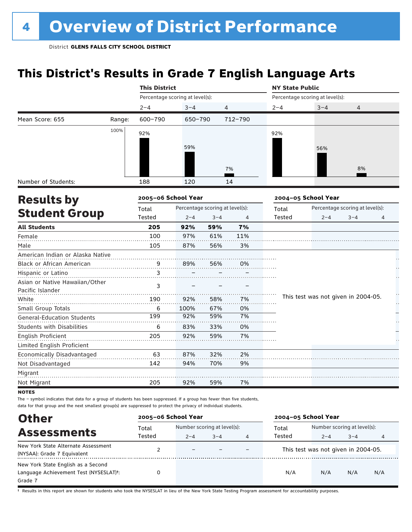## **This District's Results in Grade 7 English Language Arts**

|                                   |        | <b>This District</b>            |         |                                 |         | <b>NY State Public</b> |                                     |                                 |    |
|-----------------------------------|--------|---------------------------------|---------|---------------------------------|---------|------------------------|-------------------------------------|---------------------------------|----|
|                                   |        | Percentage scoring at level(s): |         |                                 |         |                        | Percentage scoring at level(s):     |                                 |    |
|                                   |        | $2 - 4$                         | $3 - 4$ | 4                               |         | $2 - 4$                | $3 - 4$                             | 4                               |    |
| Mean Score: 655                   | Range: | 600-790                         | 650-790 |                                 | 712-790 |                        |                                     |                                 |    |
|                                   | 100%   | 92%                             |         |                                 |         | 92%                    |                                     |                                 |    |
|                                   |        |                                 |         |                                 |         |                        |                                     |                                 |    |
|                                   |        |                                 | 59%     |                                 |         |                        | 56%                                 |                                 |    |
|                                   |        |                                 |         |                                 |         |                        |                                     |                                 |    |
|                                   |        |                                 |         |                                 | 7%      |                        |                                     | 8%                              |    |
| Number of Students:               |        | 188                             | 120     |                                 | 14      |                        |                                     |                                 |    |
| <b>Results by</b>                 |        | 2005-06 School Year             |         |                                 |         |                        | 2004-05 School Year                 |                                 |    |
|                                   |        | Total                           |         | Percentage scoring at level(s): |         | Total                  |                                     | Percentage scoring at level(s): |    |
| <b>Student Group</b>              |        | Tested                          | $2 - 4$ | $3 - 4$                         | 4       | Tested                 | $2 - 4$                             | $3 - 4$                         | 4  |
| <b>All Students</b>               |        | 205                             | 92%     | 59%                             | 7%      |                        |                                     |                                 |    |
| Female                            |        | 100                             | 97%     | 61%                             | 11%     |                        |                                     |                                 |    |
| Male                              |        | 105                             | 87%     | 56%                             | 3%      |                        |                                     |                                 |    |
| American Indian or Alaska Native  |        |                                 |         |                                 |         |                        |                                     |                                 |    |
| Black or African American         |        | 9                               | 89%     | 56%                             | 0%      |                        |                                     |                                 |    |
| Hispanic or Latino                |        | 3                               |         |                                 |         |                        |                                     |                                 |    |
| Asian or Native Hawaiian/Other    |        | 3                               |         |                                 |         |                        |                                     |                                 |    |
| Pacific Islander                  |        |                                 |         |                                 |         |                        |                                     |                                 | Ì, |
| White                             |        | 190                             | 92%     | 58%                             | 7%      |                        | This test was not given in 2004-05. |                                 | ŀ, |
| Small Group Totals                |        | 6                               | 100%    | 67%                             | 0%      |                        |                                     |                                 |    |
| <b>General-Education Students</b> |        | 199                             | 92%     | 59%                             | 7%      |                        |                                     |                                 |    |
| <b>Students with Disabilities</b> |        | 6                               | 83%     | 33%                             | 0%      |                        |                                     |                                 |    |
| <b>English Proficient</b>         |        | 205                             | 92%     | 59%                             | 7%      |                        |                                     |                                 |    |
| Limited English Proficient        |        |                                 |         |                                 |         |                        |                                     |                                 |    |
| Economically Disadvantaged        |        | 63                              | 87%     | 32%                             | 2%      |                        |                                     |                                 |    |
| Not Disadvantaged                 |        | 142                             | 94%     | 70%                             | 9%      |                        |                                     |                                 |    |
| Migrant                           |        |                                 |         |                                 |         |                        |                                     |                                 |    |
| Not Migrant                       |        | 205                             | 92%     | 59%                             | 7%      |                        |                                     |                                 |    |
| <b>NOTES</b>                      |        |                                 |         |                                 |         |                        |                                     |                                 |    |

The – symbol indicates that data for a group of students has been suppressed. If a group has fewer than five students, data for that group and the next smallest group(s) are suppressed to protect the privacy of individual students.

| <b>Other</b>                                                                                         | 2005-06 School Year |                          |                                        |   | 2004-05 School Year                 |                                        |         |     |
|------------------------------------------------------------------------------------------------------|---------------------|--------------------------|----------------------------------------|---|-------------------------------------|----------------------------------------|---------|-----|
| <b>Assessments</b>                                                                                   | Total<br>Tested     | $2 - 4$                  | Number scoring at level(s):<br>$3 - 4$ | 4 | Total<br>Tested                     | Number scoring at level(s):<br>$2 - 4$ | $3 - 4$ | 4   |
| New York State Alternate Assessment<br>(NYSAA): Grade 7 Equivalent                                   |                     | $\overline{\phantom{0}}$ |                                        |   | This test was not given in 2004-05. |                                        |         |     |
| New York State English as a Second<br>Language Achievement Test (NYSESLAT) <sup>+</sup> :<br>Grade 7 | 0                   |                          |                                        |   | N/A                                 | N/A                                    | N/A     | N/A |

† Results in this report are shown for students who took the NYSESLAT in lieu of the New York State Testing Program assessment for accountability purposes.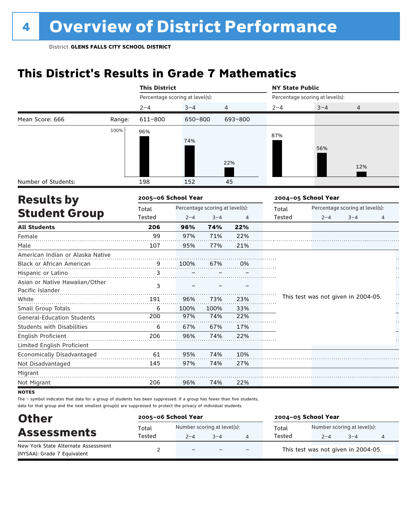## **This District's Results in Grade 7 Mathematics**

|                                   |        | <b>This District</b>            |         |                                 |         | <b>NY State Public</b> |                                     |                                 |    |
|-----------------------------------|--------|---------------------------------|---------|---------------------------------|---------|------------------------|-------------------------------------|---------------------------------|----|
|                                   |        | Percentage scoring at level(s): |         |                                 |         |                        | Percentage scoring at level(s):     |                                 |    |
|                                   |        | $2 - 4$                         | $3 - 4$ | 4                               |         | $2 - 4$                | $3 - 4$                             | 4                               |    |
| Mean Score: 666                   | Range: | 611-800                         | 650-800 |                                 | 693-800 |                        |                                     |                                 |    |
|                                   | 100%   | 96%                             |         |                                 |         |                        |                                     |                                 |    |
|                                   |        |                                 | 74%     |                                 |         | 87%                    |                                     |                                 |    |
|                                   |        |                                 |         |                                 |         |                        | 56%                                 |                                 |    |
|                                   |        |                                 |         |                                 |         |                        |                                     |                                 |    |
|                                   |        |                                 |         |                                 | 22%     |                        |                                     | 12%                             |    |
| Number of Students:               |        | 198                             | 152     |                                 | 45      |                        |                                     |                                 |    |
| <b>Results by</b>                 |        | 2005-06 School Year             |         |                                 |         |                        | 2004-05 School Year                 |                                 |    |
|                                   |        | Total                           |         | Percentage scoring at level(s): |         | Total                  |                                     | Percentage scoring at level(s): |    |
| <b>Student Group</b>              |        | Tested                          | $2 - 4$ | $3 - 4$                         | 4       | Tested                 | $2 - 4$                             | $3 - 4$                         | 4  |
| <b>All Students</b>               |        | 206                             | 96%     | 74%                             | 22%     |                        |                                     |                                 |    |
| Female                            |        | 99                              | 97%     | 71%                             | 22%     |                        |                                     |                                 |    |
| Male                              |        | 107                             | 95%     | 77%                             | 21%     |                        |                                     |                                 |    |
| American Indian or Alaska Native  |        |                                 |         |                                 |         |                        |                                     |                                 |    |
| Black or African American         |        | 9                               | 100%    | 67%                             | 0%      |                        |                                     |                                 |    |
| Hispanic or Latino                |        | 3                               |         |                                 |         |                        |                                     |                                 |    |
| Asian or Native Hawaiian/Other    |        | 3                               |         |                                 |         |                        |                                     |                                 |    |
| Pacific Islander                  |        |                                 |         |                                 |         |                        |                                     |                                 | Ì, |
| White                             |        | 191                             | 96%     | 73%                             | 23%     |                        | This test was not given in 2004-05. |                                 | ŀ, |
| Small Group Totals                |        | 6                               | 100%    | 100%                            | 33%     |                        |                                     |                                 |    |
| <b>General-Education Students</b> |        | 200                             | 97%     | 74%                             | 22%     |                        |                                     |                                 |    |
| <b>Students with Disabilities</b> |        | 6                               | 67%     | 67%                             | 17%     |                        |                                     |                                 |    |
| <b>English Proficient</b>         |        | 206                             | 96%     | 74%                             | 22%     |                        |                                     |                                 |    |
| Limited English Proficient        |        |                                 |         |                                 |         |                        |                                     |                                 |    |
| Economically Disadvantaged        |        | 61                              | 95%     | 74%                             | 10%     |                        |                                     |                                 |    |
| Not Disadvantaged                 |        | 145                             | 97%     | 74%                             | 27%     |                        |                                     |                                 |    |
| Migrant                           |        |                                 |         |                                 |         |                        |                                     |                                 |    |
| Not Migrant                       |        | 206                             | 96%     | 74%                             | 22%     |                        |                                     |                                 |    |
| <b>NOTES</b>                      |        |                                 |         |                                 |         |                        |                                     |                                 |    |

| <b>Other</b><br><b>Assessments</b>                                 | 2005-06 School Year |                                        |         |                          | 2004-05 School Year |                                        |         |   |  |  |
|--------------------------------------------------------------------|---------------------|----------------------------------------|---------|--------------------------|---------------------|----------------------------------------|---------|---|--|--|
|                                                                    | Total<br>Tested     | Number scoring at level(s):<br>$2 - 4$ | $3 - 4$ |                          | Total<br>Tested     | Number scoring at level(s):<br>$2 - 4$ | $3 - 4$ | 4 |  |  |
| New York State Alternate Assessment<br>(NYSAA): Grade 7 Equivalent |                     | $\overline{\phantom{a}}$               |         | $\overline{\phantom{0}}$ |                     | This test was not given in 2004-05.    |         |   |  |  |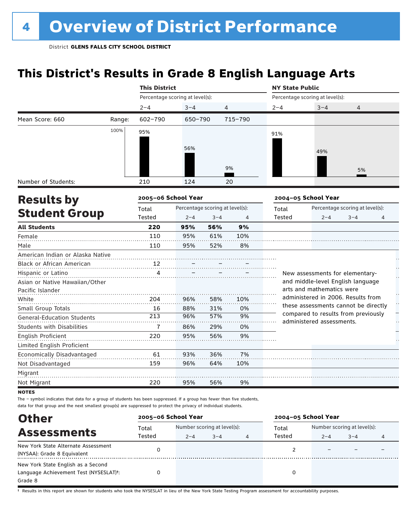## **This District's Results in Grade 8 English Language Arts**

|                                                                                                                 |        | <b>This District</b>            |                                 |                |         | <b>NY State Public</b> |                                                                  |                                 |         |
|-----------------------------------------------------------------------------------------------------------------|--------|---------------------------------|---------------------------------|----------------|---------|------------------------|------------------------------------------------------------------|---------------------------------|---------|
|                                                                                                                 |        | Percentage scoring at level(s): |                                 |                |         |                        | Percentage scoring at level(s):                                  |                                 |         |
|                                                                                                                 |        | $2 - 4$                         | $3 - 4$                         | $\overline{4}$ |         | $2 - 4$                | $3 - 4$                                                          | 4                               |         |
| Mean Score: 660                                                                                                 | Range: | $602 - 790$                     | 650-790                         |                | 715-790 |                        |                                                                  |                                 |         |
|                                                                                                                 | 100%   | 95%                             |                                 |                |         | 91%                    |                                                                  |                                 |         |
|                                                                                                                 |        |                                 |                                 |                |         |                        |                                                                  |                                 |         |
|                                                                                                                 |        |                                 | 56%                             |                |         |                        | 49%                                                              |                                 |         |
|                                                                                                                 |        |                                 |                                 |                |         |                        |                                                                  |                                 |         |
|                                                                                                                 |        |                                 |                                 |                | 9%      |                        |                                                                  | 5%                              |         |
| Number of Students:                                                                                             |        | 210                             | 124                             |                | 20      |                        |                                                                  |                                 |         |
|                                                                                                                 |        | 2005-06 School Year             |                                 |                |         |                        | 2004-05 School Year                                              |                                 |         |
| <b>Results by</b><br><b>Student Group</b><br>American Indian or Alaska Native<br>Asian or Native Hawaiian/Other |        | Total                           | Percentage scoring at level(s): |                |         | Total                  |                                                                  | Percentage scoring at level(s): |         |
|                                                                                                                 |        | Tested                          | $2 - 4$                         | $3 - 4$        | 4       | Tested                 | $2 - 4$                                                          | $3 - 4$                         | 4       |
| <b>All Students</b>                                                                                             |        | 220                             | 95%                             | 56%            | 9%      |                        |                                                                  |                                 |         |
| Female                                                                                                          |        | 110                             | 95%                             | 61%            | 10%     |                        |                                                                  |                                 |         |
| Male                                                                                                            |        | 110                             | 95%                             | 52%            | 8%      |                        |                                                                  |                                 |         |
|                                                                                                                 |        |                                 |                                 |                |         |                        |                                                                  |                                 |         |
| Black or African American                                                                                       |        | 12                              |                                 |                |         |                        |                                                                  |                                 |         |
| Hispanic or Latino                                                                                              |        | 4                               |                                 |                |         |                        | New assessments for elementary-                                  |                                 |         |
|                                                                                                                 |        |                                 |                                 |                |         |                        | and middle-level English language                                |                                 |         |
| Pacific Islander                                                                                                |        |                                 |                                 |                |         |                        | arts and mathematics were                                        |                                 |         |
| White                                                                                                           |        | 204                             | 96%                             | 58%            | 10%     |                        | administered in 2006. Results from                               |                                 | Ŭ<br>H  |
| Small Group Totals                                                                                              |        | 16                              | 88%                             | 31%            | 0%      |                        | these assessments cannot be directly                             |                                 |         |
| <b>General-Education Students</b>                                                                               |        | 213                             | 96%                             | 57%            | 9%      |                        | compared to results from previously<br>administered assessments. |                                 | Ē<br>Н, |
| <b>Students with Disabilities</b>                                                                               |        | $\overline{7}$                  | 86%                             | 29%            | 0%      |                        |                                                                  |                                 |         |
| English Proficient                                                                                              |        | 220                             | 95%                             | 56%            | 9%      |                        |                                                                  |                                 |         |
| Limited English Proficient                                                                                      |        |                                 |                                 |                |         |                        |                                                                  |                                 |         |
| Economically Disadvantaged                                                                                      |        | 61                              | 93%                             | 36%            | 7%      |                        |                                                                  |                                 |         |
| Not Disadvantaged                                                                                               |        | 159                             | 96%                             | 64%            | 10%     |                        |                                                                  |                                 |         |
| Migrant                                                                                                         |        |                                 |                                 |                |         |                        |                                                                  |                                 |         |
| Not Migrant                                                                                                     |        | 220                             | 95%                             | 56%            | 9%      |                        |                                                                  |                                 |         |
| <b>NOTES</b>                                                                                                    |        |                                 |                                 |                |         |                        |                                                                  |                                 |         |

The – symbol indicates that data for a group of students has been suppressed. If a group has fewer than five students, data for that group and the next smallest group(s) are suppressed to protect the privacy of individual students.

| <b>Other</b>                                                                            | 2005-06 School Year |         |                                        |   | 2004-05 School Year |         |                                        |   |
|-----------------------------------------------------------------------------------------|---------------------|---------|----------------------------------------|---|---------------------|---------|----------------------------------------|---|
| <b>Assessments</b>                                                                      | Total<br>Tested     | $2 - 4$ | Number scoring at level(s):<br>$3 - 4$ | 4 | Total<br>Tested     | $2 - 4$ | Number scoring at level(s):<br>$3 - 4$ | 4 |
| New York State Alternate Assessment<br>(NYSAA): Grade 8 Equivalent                      |                     |         |                                        |   |                     |         |                                        |   |
| New York State English as a Second<br>Language Achievement Test (NYSESLAT)t:<br>Grade 8 |                     |         |                                        |   |                     |         |                                        |   |

† Results in this report are shown for students who took the NYSESLAT in lieu of the New York State Testing Program assessment for accountability purposes.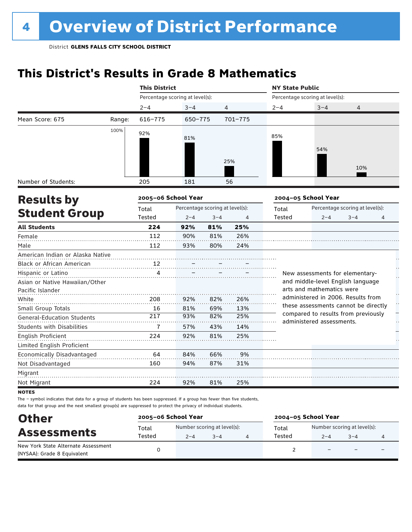## **This District's Results in Grade 8 Mathematics**

|                                                    |        | <b>This District</b>            |                                 |         |         |               | <b>NY State Public</b>                                           |                                 |   |  |
|----------------------------------------------------|--------|---------------------------------|---------------------------------|---------|---------|---------------|------------------------------------------------------------------|---------------------------------|---|--|
|                                                    |        | Percentage scoring at level(s): |                                 |         |         |               | Percentage scoring at level(s):                                  |                                 |   |  |
|                                                    |        | $2 - 4$                         | $3 - 4$                         |         | 4       | $2 - 4$       | $3 - 4$                                                          | 4                               |   |  |
| Mean Score: 675                                    | Range: | 616-775                         | 650-775                         |         | 701-775 |               |                                                                  |                                 |   |  |
|                                                    | 100%   | 92%                             | 81%                             |         | 25%     | 85%           | 54%                                                              |                                 |   |  |
|                                                    |        |                                 |                                 |         |         |               |                                                                  | 10%                             |   |  |
| Number of Students:                                |        | 205                             | 181                             |         | 56      |               |                                                                  |                                 |   |  |
| <b>Results by</b>                                  |        | 2005-06 School Year             |                                 |         |         |               | 2004-05 School Year                                              |                                 |   |  |
|                                                    |        | Total                           | Percentage scoring at level(s): |         |         | Total         |                                                                  | Percentage scoring at level(s): |   |  |
| <b>Student Group</b>                               |        | Tested                          | $2 - 4$                         | $3 - 4$ | 4       | <b>Tested</b> | $2 - 4$                                                          | $3 - 4$                         | 4 |  |
| <b>All Students</b>                                |        | 224                             | 92%                             | 81%     | 25%     |               |                                                                  |                                 |   |  |
| Female                                             |        | 112                             | 90%                             | 81%     | 26%     |               |                                                                  |                                 |   |  |
| Male                                               |        | 112                             | 93%                             | 80%     | 24%     |               |                                                                  |                                 |   |  |
| American Indian or Alaska Native                   |        |                                 |                                 |         |         |               |                                                                  |                                 |   |  |
| <b>Black or African American</b>                   |        | 12                              |                                 |         |         |               |                                                                  |                                 |   |  |
| Hispanic or Latino                                 |        | 4                               |                                 |         |         |               | New assessments for elementary-                                  |                                 |   |  |
| Asian or Native Hawaiian/Other<br>Pacific Islander |        |                                 |                                 |         |         |               | and middle-level English language<br>arts and mathematics were   |                                 |   |  |
| White                                              |        | 208                             | 92%                             | 82%     | 26%     |               | administered in 2006. Results from                               |                                 |   |  |
| Small Group Totals                                 |        | 16                              | 81%                             | 69%     | 13%     |               | these assessments cannot be directly                             |                                 |   |  |
| <b>General-Education Students</b>                  |        | 217                             | 93%                             | 82%     | 25%     |               | compared to results from previously<br>administered assessments. |                                 |   |  |
| <b>Students with Disabilities</b>                  |        | 7                               | 57%                             | 43%     | 14%     |               |                                                                  |                                 |   |  |
| English Proficient                                 |        | 224                             | 92%                             | 81%     | 25%     |               |                                                                  |                                 |   |  |
| Limited English Proficient                         |        |                                 |                                 |         |         |               |                                                                  |                                 |   |  |
| Economically Disadvantaged                         |        | 64                              | 84%                             | 66%     | 9%      |               |                                                                  |                                 |   |  |
| Not Disadvantaged                                  |        | 160                             | 94%                             | 87%     | 31%     |               |                                                                  |                                 |   |  |
| Migrant                                            |        |                                 |                                 |         |         |               |                                                                  |                                 |   |  |
| Not Migrant                                        |        | 224                             | 92%                             | 81%     | 25%     |               |                                                                  |                                 |   |  |
|                                                    |        |                                 |                                 |         |         |               |                                                                  |                                 |   |  |

notes

| <b>Other</b>                                                       | 2005-06 School Year |                                                   |  |  | 2004-05 School Year |                                        |                          |  |  |
|--------------------------------------------------------------------|---------------------|---------------------------------------------------|--|--|---------------------|----------------------------------------|--------------------------|--|--|
| <b>Assessments</b>                                                 | Total<br>Tested     | Number scoring at level(s):<br>$3 - 4$<br>$2 - 4$ |  |  | Total<br>Tested     | Number scoring at level(s):<br>$2 - 4$ | $3 - 4$                  |  |  |
| New York State Alternate Assessment<br>(NYSAA): Grade 8 Equivalent |                     |                                                   |  |  |                     |                                        | $\overline{\phantom{0}}$ |  |  |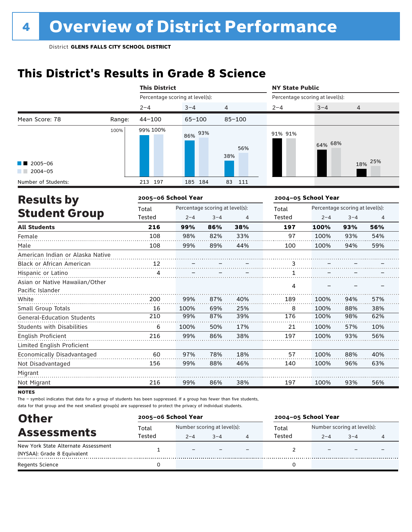## **This District's Results in Grade 8 Science**

|            |         |                      |                                                                                            | <b>NY State Public</b>                                          |         |         |                                                                                                             |
|------------|---------|----------------------|--------------------------------------------------------------------------------------------|-----------------------------------------------------------------|---------|---------|-------------------------------------------------------------------------------------------------------------|
|            |         |                      |                                                                                            |                                                                 |         |         |                                                                                                             |
| $2 - 4$    | $3 - 4$ |                      |                                                                                            | $2 - 4$                                                         | $3 - 4$ | 4       |                                                                                                             |
| $44 - 100$ |         |                      |                                                                                            |                                                                 |         |         |                                                                                                             |
| 99% 100%   |         |                      | 56%                                                                                        | 91% 91%                                                         |         |         | 25%                                                                                                         |
|            |         |                      |                                                                                            |                                                                 |         |         |                                                                                                             |
| 213 197    |         |                      | 111                                                                                        |                                                                 |         |         |                                                                                                             |
|            |         |                      |                                                                                            |                                                                 |         |         |                                                                                                             |
| Total      |         |                      |                                                                                            | Total                                                           |         |         |                                                                                                             |
| Tested     | $2 - 4$ | $3 - 4$              | 4                                                                                          | <b>Tested</b>                                                   | $2 - 4$ | $3 - 4$ | 4                                                                                                           |
| 216        | 99%     | 86%                  | 38%                                                                                        | 197                                                             | 100%    | 93%     | 56%                                                                                                         |
| 108        | 98%     | 82%                  | 33%                                                                                        | 97                                                              | 100%    | 93%     | 54%                                                                                                         |
| 108        | 99%     | 89%                  | 44%                                                                                        | 100                                                             | 100%    | 94%     | 59%                                                                                                         |
|            |         |                      |                                                                                            |                                                                 |         |         |                                                                                                             |
| 12         |         |                      |                                                                                            | 3                                                               |         |         |                                                                                                             |
| 4          |         |                      |                                                                                            | 1                                                               |         |         |                                                                                                             |
|            |         |                      |                                                                                            | 4                                                               |         |         |                                                                                                             |
| 200        | 99%     | 87%                  | 40%                                                                                        | 189                                                             | 100%    | 94%     | 57%                                                                                                         |
| 16         | 100%    | 69%                  | 25%                                                                                        | 8                                                               | 100%    | 88%     | 38%                                                                                                         |
| 210        | 99%     | 87%                  | 39%                                                                                        | 176                                                             | 100%    | 98%     | 62%                                                                                                         |
| 6          | 100%    | 50%                  | 17%                                                                                        | 21                                                              | 100%    | 57%     | 10%                                                                                                         |
| 216        | 99%     | 86%                  | 38%                                                                                        | 197                                                             | 100%    | 93%     | 56%                                                                                                         |
| 60         | 97%     | 78%                  | 18%                                                                                        | 57                                                              | 100%    | 88%     | 40%                                                                                                         |
| 156        | 99%     | 88%                  | 46%                                                                                        | 140                                                             | 100%    | 96%     | 63%                                                                                                         |
|            |         |                      |                                                                                            |                                                                 |         |         |                                                                                                             |
| 216        | 99%     | 86%                  | 38%                                                                                        | 197                                                             | 100%    | 93%     | 56%                                                                                                         |
|            |         | <b>This District</b> | Percentage scoring at level(s):<br>$65 - 100$<br>86% 93%<br>185 184<br>2005-06 School Year | 4<br>$85 - 100$<br>38%<br>83<br>Percentage scoring at level(s): |         |         | Percentage scoring at level(s):<br>64% 68%<br>18%<br>2004-05 School Year<br>Percentage scoring at level(s): |

**NOTES** 

| <b>Other</b>                        | 2005-06 School Year |                          |                             |  | 2004-05 School Year |                             |         |  |
|-------------------------------------|---------------------|--------------------------|-----------------------------|--|---------------------|-----------------------------|---------|--|
|                                     | Total               |                          | Number scoring at level(s): |  |                     | Number scoring at level(s): |         |  |
| <b>Assessments</b>                  | Tested              | $2 - 4$                  | $3 - 4$                     |  | Tested              | $2 - 4$                     | $3 - 4$ |  |
| New York State Alternate Assessment |                     | $\overline{\phantom{0}}$ |                             |  |                     |                             |         |  |
| (NYSAA): Grade 8 Equivalent         |                     |                          |                             |  |                     |                             |         |  |
| <b>Regents Science</b>              |                     |                          |                             |  |                     |                             |         |  |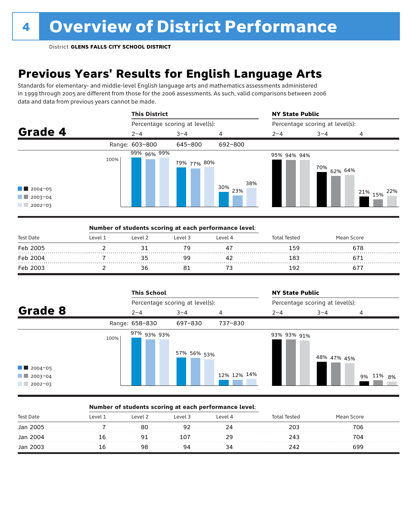## **Previous Years' Results for English Language Arts**

Standards for elementary- and middle-level English language arts and mathematics assessments administered in 1999 through 2005 are different from those for the 2006 assessments. As such, valid comparisons between 2006 data and data from previous years cannot be made.



|           |         |         | Number of students scoring at each performance level: |         |              |            |  |
|-----------|---------|---------|-------------------------------------------------------|---------|--------------|------------|--|
| Test Date | Level 1 | Level 2 | Level 3                                               | Level 4 | Total Tested | Mean Score |  |
| Feb 2005  |         |         |                                                       |         | 159          | 678        |  |
| Feb 2004  |         |         | qa                                                    |         | 183          |            |  |
| Feb 2003  |         | 36      |                                                       |         | 192          |            |  |

|                                                                  | <b>This School</b>  |                                 |             | <b>NY State Public</b> |                                 |           |
|------------------------------------------------------------------|---------------------|---------------------------------|-------------|------------------------|---------------------------------|-----------|
|                                                                  |                     | Percentage scoring at level(s): |             |                        | Percentage scoring at level(s): |           |
| Grade 8                                                          | $2 - 4$             | $3 - 4$                         | 4           | $2 - 4$                | $3 - 4$                         | 4         |
|                                                                  | Range: 658-830      | 697-830                         | 737-830     |                        |                                 |           |
| $\blacksquare$ 2004-05<br>$\blacksquare$ 2003-04<br>$12002 - 03$ | 97% 93% 93%<br>100% | 57% 56% <sub>53%</sub>          | 12% 12% 14% | 93% 93% 91%            | 48% 47% 45%                     | 9% 11% 8% |

#### Number of students scoring at each performance level:

| <b>Test Date</b> | Level 1 | Level 2 | Level 3 | Level 4 | Tester | an Score |  |
|------------------|---------|---------|---------|---------|--------|----------|--|
| Jan 2005         |         |         |         |         | 203    | 706      |  |
| Jan 2004<br>.    |         |         | 107     |         | 243    | 704      |  |
| Jan 2003         |         |         | ч⊿      |         | 242    | 699      |  |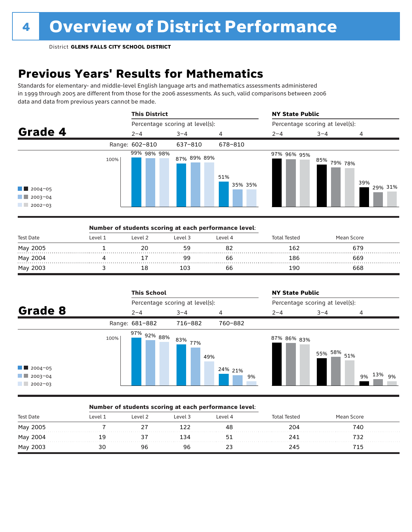## **Previous Years' Results for Mathematics**

Standards for elementary- and middle-level English language arts and mathematics assessments administered in 1999 through 2005 are different from those for the 2006 assessments. As such, valid comparisons between 2006 data and data from previous years cannot be made.



|                  |         | Number of students scoring at each performance level: |         |         |              |            |  |
|------------------|---------|-------------------------------------------------------|---------|---------|--------------|------------|--|
| <b>Test Date</b> | Level 1 | Level 2                                               | Level 3 | Level 4 | Total Tested | Mean Score |  |
| May 2005         |         | 20                                                    | 59      |         | 162          | 679        |  |
| May 2004         |         |                                                       | aa      | bb      | 186          | 669        |  |
| May 2003         |         |                                                       | 103     | bb      | 190          | 668        |  |

|                                                                  |      | <b>This School</b> |                                 |               | <b>NY State Public</b>          |             |              |
|------------------------------------------------------------------|------|--------------------|---------------------------------|---------------|---------------------------------|-------------|--------------|
|                                                                  |      |                    | Percentage scoring at level(s): |               | Percentage scoring at level(s): |             |              |
| Grade 8                                                          |      | $2 - 4$            | $3 - 4$                         | 4             | $2 - 4$                         | $3 - 4$     | 4            |
|                                                                  |      | Range: 681-882     | 716-882                         | 760-882       |                                 |             |              |
| $\blacksquare$ 2004-05<br>$\blacksquare$ 2003-04<br>$12002 - 03$ | 100% | $97\%$ 92% 88%     | 83% 77%<br>49%                  | 24% 21%<br>9% | 87% 86% <sub>83%</sub>          | 55% 58% 51% | 9% 13%<br>9% |

### Number of students scoring at each performance level:

| <b>Test Date</b> | Level 1 | Level 2 | Level 3 | Level 4 | <b>Total Tested</b> | Mean Score |  |
|------------------|---------|---------|---------|---------|---------------------|------------|--|
| May 2005         |         |         | ົາ1     |         | 204                 | 740        |  |
| May 2004         | 19      |         | -34     |         | 241                 |            |  |
| May 2003         |         | 96      | 96      |         | 245                 | 715.       |  |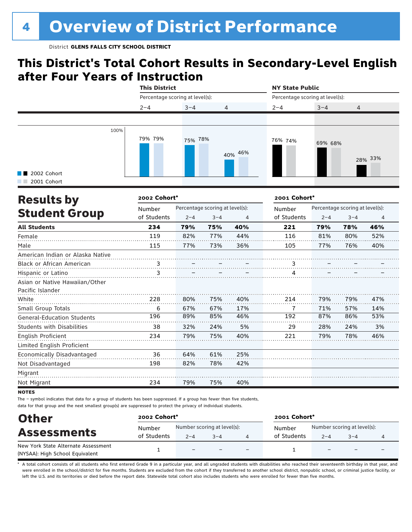### **This District's Total Cohort Results in Secondary-Level English after Four Years of Instruction**

|                            |         |                                 |         |                |                                 | <b>NY State Public</b> |                |  |
|----------------------------|---------|---------------------------------|---------|----------------|---------------------------------|------------------------|----------------|--|
|                            |         | Percentage scoring at level(s): |         |                | Percentage scoring at level(s): |                        |                |  |
|                            | $2 - 4$ |                                 | $3 - 4$ | $\overline{4}$ | $2 - 4$                         | $3 - 4$                | $\overline{4}$ |  |
|                            |         |                                 |         |                |                                 |                        |                |  |
| 2002 Cohort<br>2001 Cohort | 100%    | 79% 79%                         | 75% 78% | 40% 46%        | 76% 74%                         | 69% 68%                | 28% 33%        |  |

| <b>Results by</b>                 | 2002 Cohort* |                                 | 2001 Cohort* |     |             |                                 |         |     |  |
|-----------------------------------|--------------|---------------------------------|--------------|-----|-------------|---------------------------------|---------|-----|--|
|                                   | Number       | Percentage scoring at level(s): |              |     | Number      | Percentage scoring at level(s): |         |     |  |
| <b>Student Group</b>              | of Students  | $2 - 4$                         | $3 - 4$      | 4   | of Students | $2 - 4$                         | $3 - 4$ | 4   |  |
| <b>All Students</b>               | 234          | 79%                             | 75%          | 40% | 221         | 79%                             | 78%     | 46% |  |
| Female                            | 119          | 82%                             | 77%          | 44% | 116         | 81%                             | 80%     | 52% |  |
| Male                              | 115          | 77%                             | 73%          | 36% | 105         | 77%                             | 76%     | 40% |  |
| American Indian or Alaska Native  |              |                                 |              |     |             |                                 |         |     |  |
| Black or African American         | 3            |                                 |              |     |             |                                 |         |     |  |
| Hispanic or Latino                | 3            |                                 |              |     |             |                                 |         |     |  |
| Asian or Native Hawaiian/Other    |              |                                 |              |     |             |                                 |         |     |  |
| Pacific Islander                  |              |                                 |              |     |             |                                 |         |     |  |
| White                             | 228          | 80%                             | 75%          | 40% | 214         | 79%                             | 79%     | 47% |  |
| Small Group Totals                | 6            | 67%                             | 67%          | 17% | 7           | 71%                             | 57%     | 14% |  |
| <b>General-Education Students</b> | 196          | 89%                             | 85%          | 46% | 192         | 87%                             | 86%     | 53% |  |
| <b>Students with Disabilities</b> | 38           | 32%                             | 24%          | 5%  | 29          | 28%                             | 24%     | 3%  |  |
| English Proficient                | 234          | 79%                             | 75%          | 40% | 221         | 79%                             | 78%     | 46% |  |
| Limited English Proficient        |              |                                 |              |     |             |                                 |         |     |  |
| Economically Disadvantaged        | 36           | 64%                             | 61%          | 25% |             |                                 |         |     |  |
| Not Disadvantaged                 | 198          | 82%                             | 78%          | 42% |             |                                 |         |     |  |
| Migrant                           |              |                                 |              |     |             |                                 |         |     |  |
| Not Migrant                       | 234          | 79%                             | 75%          | 40% |             |                                 |         |     |  |

**NOTES** 

The – symbol indicates that data for a group of students has been suppressed. If a group has fewer than five students, data for that group and the next smallest group(s) are suppressed to protect the privacy of individual students.

| <b>Other</b>                        | 2002 Cohort* |                             |         |  | 2001 Cohort* |                             |      |  |  |
|-------------------------------------|--------------|-----------------------------|---------|--|--------------|-----------------------------|------|--|--|
| <b>Assessments</b>                  | Number       | Number scoring at level(s): |         |  | Number       | Number scoring at level(s): |      |  |  |
|                                     | of Students  | $2 - 4$                     | $3 - 4$ |  | of Students  | $2 - 4$                     | $-4$ |  |  |
| New York State Alternate Assessment |              | $\overline{\phantom{0}}$    |         |  |              |                             |      |  |  |
| (NYSAA): High School Equivalent     |              |                             |         |  |              |                             |      |  |  |

A total cohort consists of all students who first entered Grade 9 in a particular year, and all ungraded students with disabilities who reached their seventeenth birthday in that year, and were enrolled in the school/district for five months. Students are excluded from the cohort if they transferred to another school district, nonpublic school, or criminal justice facility, or left the U.S. and its territories or died before the report date. Statewide total cohort also includes students who were enrolled for fewer than five months.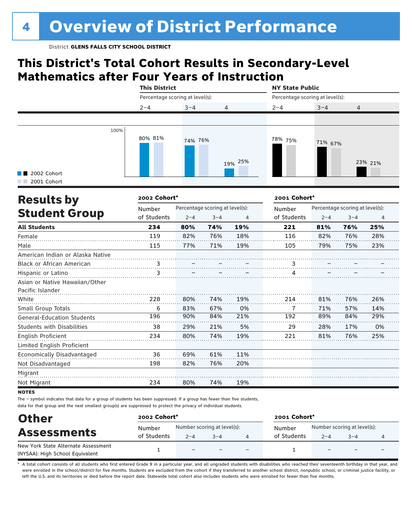## **This District's Total Cohort Results in Secondary-Level Mathematics after Four Years of Instruction**

|                                     |      |                                                                                                     |  |                                 | <b>NY State Public</b> |         |                |
|-------------------------------------|------|-----------------------------------------------------------------------------------------------------|--|---------------------------------|------------------------|---------|----------------|
|                                     |      | <b>This District</b><br>Percentage scoring at level(s):<br>$2 - 4$<br>$3 - 4$<br>80% 81%<br>74% 76% |  | Percentage scoring at level(s): |                        |         |                |
|                                     |      |                                                                                                     |  | $\overline{4}$                  | $2 - 4$                | $3 - 4$ | $\overline{4}$ |
|                                     |      |                                                                                                     |  |                                 |                        |         |                |
| <b>1</b> 2002 Cohort<br>2001 Cohort | 100% |                                                                                                     |  | 19% 25%                         | 78% 75%                | 71% 67% | 23% 21%        |

| <b>Results by</b>                 | 2002 Cohort*          |                                 | 2001 Cohort* |     |             |                                 |         |     |  |
|-----------------------------------|-----------------------|---------------------------------|--------------|-----|-------------|---------------------------------|---------|-----|--|
|                                   | Number<br>of Students | Percentage scoring at level(s): |              |     | Number      | Percentage scoring at level(s): |         |     |  |
| <b>Student Group</b>              |                       | $2 - 4$                         | $3 - 4$      | 4   | of Students | $2 - 4$                         | $3 - 4$ | 4   |  |
| <b>All Students</b>               | 234                   | 80%                             | 74%          | 19% | 221         | 81%                             | 76%     | 25% |  |
| Female                            | 119                   | 82%                             | 76%          | 18% | 116         | 82%                             | 76%     | 28% |  |
| Male                              | 115                   | 77%                             | 71%          | 19% | 105         | 79%                             | 75%     | 23% |  |
| American Indian or Alaska Native  |                       |                                 |              |     |             |                                 |         |     |  |
| <b>Black or African American</b>  | 3                     |                                 |              |     | 3           |                                 |         |     |  |
| Hispanic or Latino                | 3                     |                                 |              |     |             |                                 |         |     |  |
| Asian or Native Hawaiian/Other    |                       |                                 |              |     |             |                                 |         |     |  |
| Pacific Islander                  |                       |                                 |              |     |             |                                 |         |     |  |
| White                             | 228                   | 80%                             | 74%          | 19% | 214         | 81%                             | 76%     | 26% |  |
| Small Group Totals                | 6                     | 83%                             | 67%          | 0%  | 7           | 71%                             | 57%     | 14% |  |
| <b>General-Education Students</b> | 196                   | 90%                             | 84%          | 21% | 192         | 89%                             | 84%     | 29% |  |
| <b>Students with Disabilities</b> | 38                    | 29%                             | 21%          | 5%  | 29          | 28%                             | 17%     | 0%  |  |
| English Proficient                | 234                   | 80%                             | 74%          | 19% | 221         | 81%                             | 76%     | 25% |  |
| Limited English Proficient        |                       |                                 |              |     |             |                                 |         |     |  |
| Economically Disadvantaged        | 36                    | 69%                             | 61%          | 11% |             |                                 |         |     |  |
| Not Disadvantaged                 | 198                   | 82%                             | 76%          | 20% |             |                                 |         |     |  |
| Migrant                           |                       |                                 |              |     |             |                                 |         |     |  |
| Not Migrant                       | 234                   | 80%                             | 74%          | 19% |             |                                 |         |     |  |

**NOTES** 

The – symbol indicates that data for a group of students has been suppressed. If a group has fewer than five students, data for that group and the next smallest group(s) are suppressed to protect the privacy of individual students.

| <b>Other</b>                                                           | 2002 Cohort*          |                                                   |  |                          | 2001 Cohort*          |         |                                        |  |  |
|------------------------------------------------------------------------|-----------------------|---------------------------------------------------|--|--------------------------|-----------------------|---------|----------------------------------------|--|--|
| <b>Assessments</b>                                                     | Number<br>of Students | Number scoring at level(s):<br>$2 - 4$<br>$3 - 4$ |  |                          | Number<br>of Students | $2 - 4$ | Number scoring at level(s):<br>$3 - 4$ |  |  |
| New York State Alternate Assessment<br>(NYSAA): High School Equivalent |                       | $\overline{\phantom{m}}$                          |  | $\overline{\phantom{0}}$ |                       |         | $\overline{\phantom{0}}$               |  |  |

A total cohort consists of all students who first entered Grade 9 in a particular year, and all ungraded students with disabilities who reached their seventeenth birthday in that year, and were enrolled in the school/district for five months. Students are excluded from the cohort if they transferred to another school district, nonpublic school, or criminal justice facility, or left the U.S. and its territories or died before the report date. Statewide total cohort also includes students who were enrolled for fewer than five months.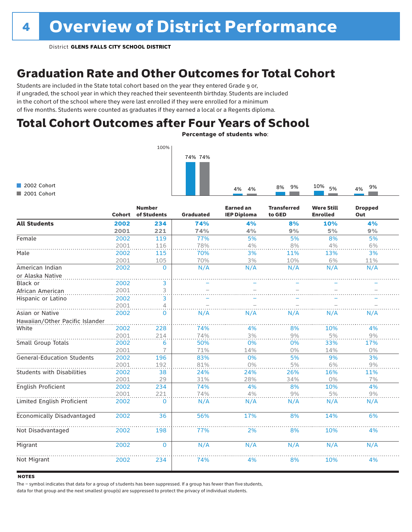### Graduation Rate and Other Outcomes for Total Cohort

Students are included in the State total cohort based on the year they entered Grade 9 or, if ungraded, the school year in which they reached their seventeenth birthday. Students are included in the cohort of the school where they were last enrolled if they were enrolled for a minimum of five months. Students were counted as graduates if they earned a local or a Regents diploma.

### Total Cohort Outcomes after Four Years of School

Percentage of students who:



|                                   | <b>Cohort</b> | <b>Number</b><br>of Students | <b>Graduated</b> | <b>Earned an</b><br><b>IEP Diploma</b> | <b>Transferred</b><br>to GED | <b>Were Still</b><br><b>Enrolled</b> | <b>Dropped</b><br>Out |
|-----------------------------------|---------------|------------------------------|------------------|----------------------------------------|------------------------------|--------------------------------------|-----------------------|
| <b>All Students</b>               | 2002          | 234                          | 74%              | 4%                                     | 8%                           | 10%                                  | 4%                    |
|                                   | 2001          | 221                          | 74%              | 4%                                     | 9%                           | 5%                                   | 9%                    |
| Female                            | 2002          | 119                          | 77%              | 5%                                     | 5%                           | 8%                                   | 5%                    |
|                                   | 2001          | 116                          | 78%              | 4%                                     | 8%                           | 4%                                   | 6%                    |
| Male                              | 2002          | 115                          | 70%              | 3%                                     | 11%                          | 13%                                  | 3%                    |
|                                   | 2001          | 105                          | 70%              | 3%                                     | 10%                          | 6%                                   | 11%                   |
| American Indian                   | 2002          | $\mathbf{0}$                 | N/A              | N/A                                    | N/A                          | N/A                                  | N/A                   |
| or Alaska Native                  |               |                              |                  |                                        |                              |                                      |                       |
| Black or                          | 2002          | 3                            |                  |                                        |                              |                                      |                       |
| African American                  | 2001          | 3                            |                  |                                        |                              |                                      |                       |
| Hispanic or Latino                | 2002          | 3                            |                  |                                        |                              |                                      |                       |
|                                   | 2001          | 4                            |                  |                                        |                              |                                      |                       |
| Asian or Native                   | 2002          | $\Omega$                     | N/A              | N/A                                    | N/A                          | N/A                                  | N/A                   |
| Hawaiian/Other Pacific Islander   |               |                              |                  |                                        |                              |                                      |                       |
| White                             | 2002          | 228                          | 74%              | 4%                                     | 8%                           | 10%                                  | 4%                    |
|                                   | 2001          | 214                          | 74%              | 3%                                     | 9%                           | 5%                                   | 9%                    |
| Small Group Totals                | 2002          | 6                            | 50%              | 0%                                     | 0%                           | 33%                                  | 17%                   |
|                                   | 2001          |                              | 71%              | 14%                                    | 0%                           | 14%                                  | $0\%$                 |
| <b>General-Education Students</b> | 2002          | 196                          | 83%              | 0%                                     | 5%                           | 9%                                   | 3%                    |
|                                   | 2001          | 192                          | 81%              | 0%                                     | 5%                           | 6%                                   | 9%                    |
| <b>Students with Disabilities</b> | 2002          | 38                           | 24%              | 24%                                    | 26%                          | 16%                                  | 11%                   |
|                                   | 2001          | 29                           | 31%              | 28%                                    | 34%                          | $0\%$                                | 7%                    |
| English Proficient                | 2002          | 234                          | 74%              | 4%                                     | 8%                           | 10%                                  | 4%                    |
|                                   | 2001          | 221                          | 74%              | 4%                                     | 9%                           | 5%                                   | 9%                    |
| Limited English Proficient        | 2002          | $\Omega$                     | N/A              | N/A                                    | N/A                          | N/A                                  | N/A                   |
| Economically Disadvantaged        | 2002          | 36                           | 56%              | 17%                                    | 8%                           | 14%                                  | 6%                    |
| Not Disadvantaged                 | 2002          | 198                          | 77%              | 2%                                     | 8%                           | 10%                                  | 4%                    |
| Migrant                           | 2002          | $\mathbf 0$                  | N/A              | N/A                                    | N/A                          | N/A                                  | N/A                   |
| Not Migrant                       | 2002          | 234                          | 74%              | 4%                                     | 8%                           | 10%                                  | 4%                    |

#### **NOTES**

The – symbol indicates that data for a group of s tudents has been suppressed. If a group has fewer than five students,

data for that group and the next smallest group(s) are suppressed to protect the privacy of individual students.